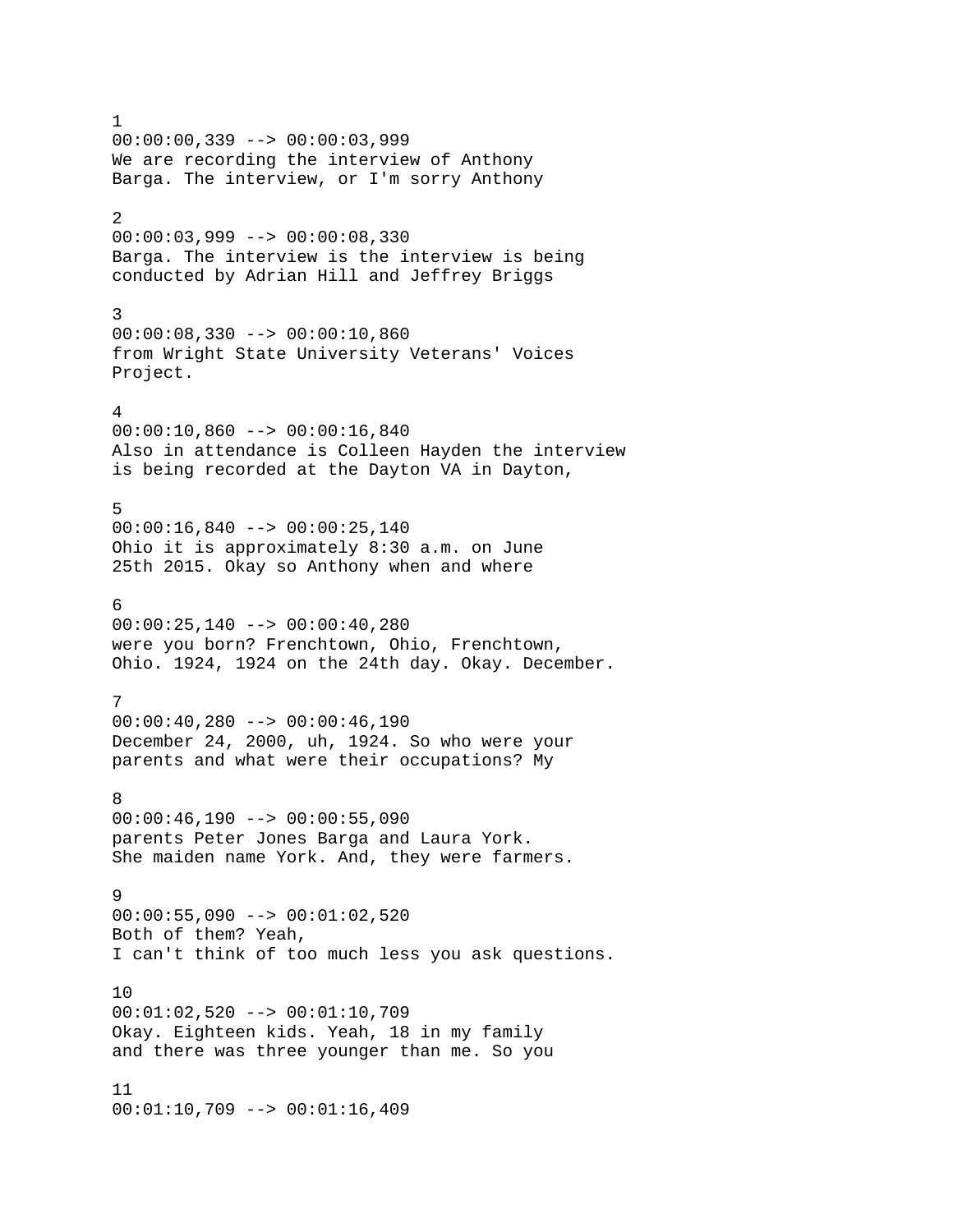1  $00:00:00,339$  -->  $00:00:03,999$ We are recording the interview of Anthony Barga. The interview, or I'm sorry Anthony 2 00:00:03,999 --> 00:00:08,330 Barga. The interview is the interview is being conducted by Adrian Hill and Jeffrey Briggs 3 00:00:08,330 --> 00:00:10,860 from Wright State University Veterans' Voices Project. 4 00:00:10,860 --> 00:00:16,840 Also in attendance is Colleen Hayden the interview is being recorded at the Dayton VA in Dayton, 5  $00:00:16,840$  -->  $00:00:25,140$ Ohio it is approximately 8:30 a.m. on June 25th 2015. Okay so Anthony when and where 6  $00:00:25,140$  -->  $00:00:40,280$ were you born? Frenchtown, Ohio, Frenchtown, Ohio. 1924, 1924 on the 24th day. Okay. December. 7  $00:00:40,280$  -->  $00:00:46,190$ December 24, 2000, uh, 1924. So who were your parents and what were their occupations? My 8  $00:00:46,190$  -->  $00:00:55,090$ parents Peter Jones Barga and Laura York. She maiden name York. And, they were farmers. 9  $00:00:55,090$  -->  $00:01:02,520$ Both of them? Yeah, I can't think of too much less you ask questions. 10 00:01:02,520 --> 00:01:10,709 Okay. Eighteen kids. Yeah, 18 in my family and there was three younger than me. So you 11 00:01:10,709 --> 00:01:16,409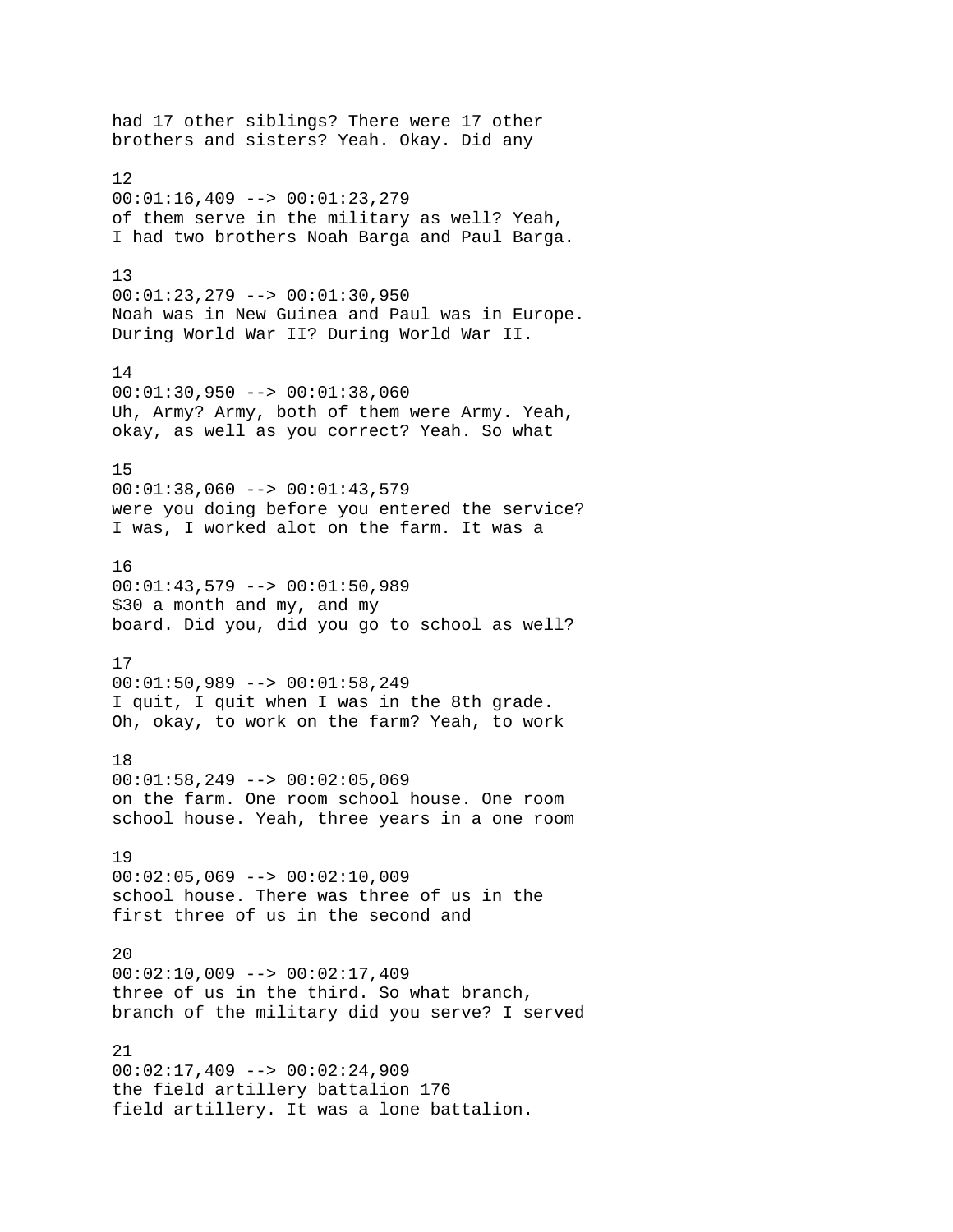had 17 other siblings? There were 17 other brothers and sisters? Yeah. Okay. Did any 12  $00:01:16,409$  -->  $00:01:23,279$ of them serve in the military as well? Yeah, I had two brothers Noah Barga and Paul Barga. 13 00:01:23,279 --> 00:01:30,950 Noah was in New Guinea and Paul was in Europe. During World War II? During World War II. 14 00:01:30,950 --> 00:01:38,060 Uh, Army? Army, both of them were Army. Yeah, okay, as well as you correct? Yeah. So what 15  $00:01:38,060$  -->  $00:01:43,579$ were you doing before you entered the service? I was, I worked alot on the farm. It was a 16 00:01:43,579 --> 00:01:50,989 \$30 a month and my, and my board. Did you, did you go to school as well? 17 00:01:50,989 --> 00:01:58,249 I quit, I quit when I was in the 8th grade. Oh, okay, to work on the farm? Yeah, to work 18  $00:01:58,249$  -->  $00:02:05,069$ on the farm. One room school house. One room school house. Yeah, three years in a one room 19  $00:02:05,069$  -->  $00:02:10,009$ school house. There was three of us in the first three of us in the second and 20  $00:02:10,009$  -->  $00:02:17,409$ three of us in the third. So what branch, branch of the military did you serve? I served 21  $00:02:17,409$  -->  $00:02:24,909$ the field artillery battalion 176 field artillery. It was a lone battalion.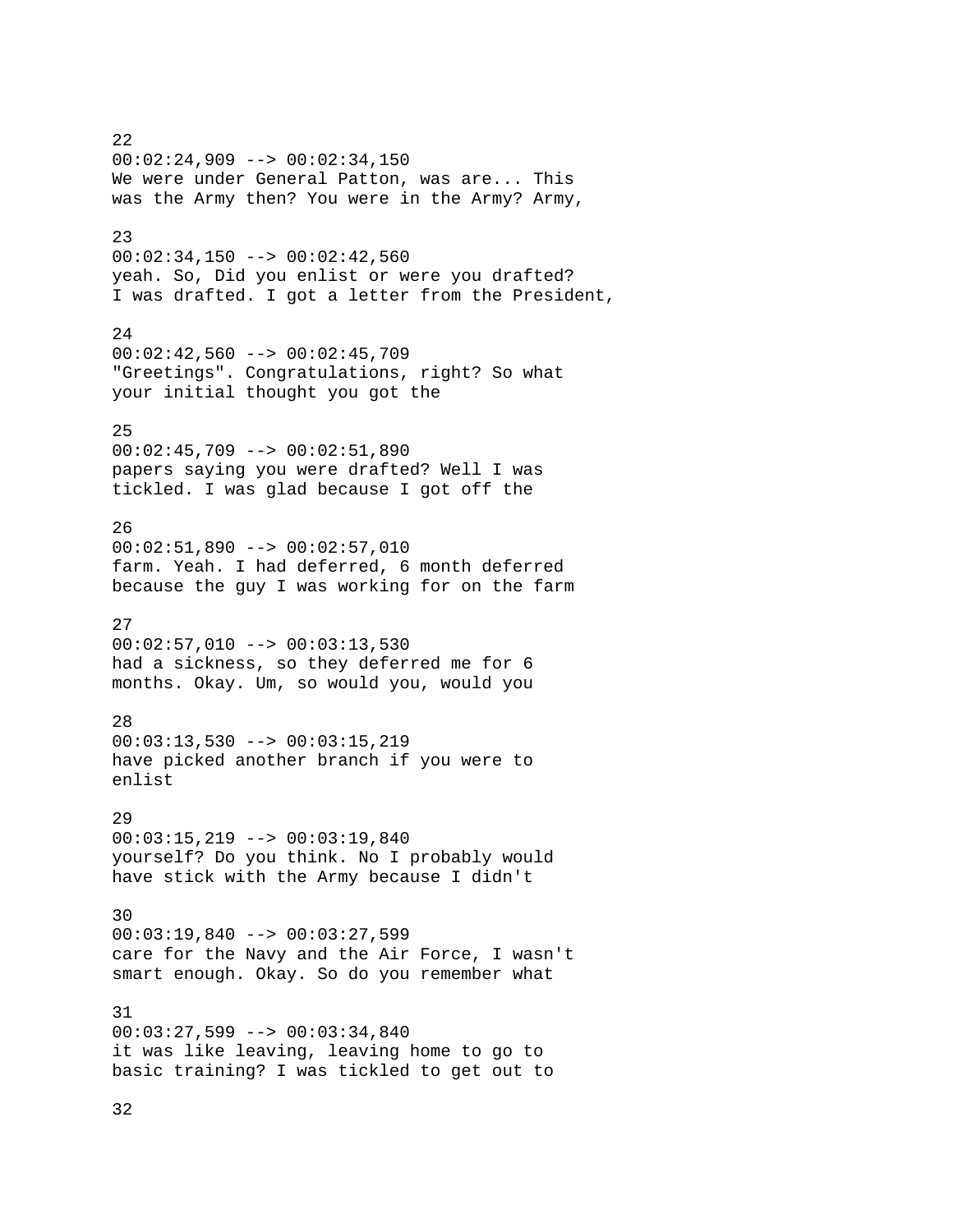22  $00:02:24,909$  -->  $00:02:34,150$ We were under General Patton, was are... This was the Army then? You were in the Army? Army, 23 00:02:34,150 --> 00:02:42,560 yeah. So, Did you enlist or were you drafted? I was drafted. I got a letter from the President, 24  $00:02:42,560$  -->  $00:02:45,709$ "Greetings". Congratulations, right? So what your initial thought you got the 25  $00:02:45,709$  -->  $00:02:51,890$ papers saying you were drafted? Well I was tickled. I was glad because I got off the 26 00:02:51,890 --> 00:02:57,010 farm. Yeah. I had deferred, 6 month deferred because the guy I was working for on the farm 27  $00:02:57,010$  -->  $00:03:13,530$ had a sickness, so they deferred me for 6 months. Okay. Um, so would you, would you 28  $00:03:13,530$  -->  $00:03:15,219$ have picked another branch if you were to enlist 29 00:03:15,219 --> 00:03:19,840 yourself? Do you think. No I probably would have stick with the Army because I didn't 30  $00:03:19,840$  -->  $00:03:27,599$ care for the Navy and the Air Force, I wasn't smart enough. Okay. So do you remember what 31 00:03:27,599 --> 00:03:34,840 it was like leaving, leaving home to go to basic training? I was tickled to get out to

32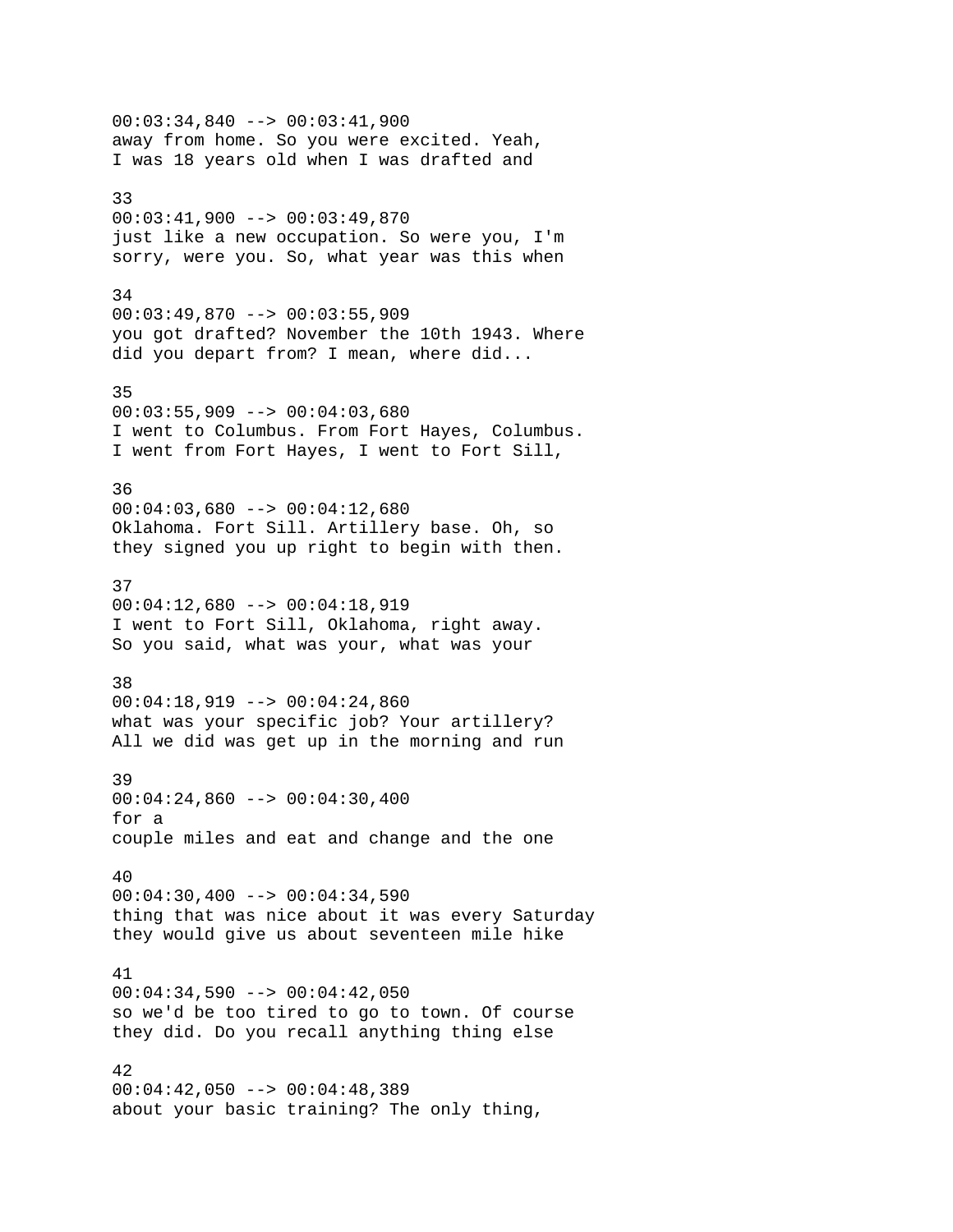00:03:34,840 --> 00:03:41,900 away from home. So you were excited. Yeah, I was 18 years old when I was drafted and 33 00:03:41,900 --> 00:03:49,870 just like a new occupation. So were you, I'm sorry, were you. So, what year was this when 34 00:03:49,870 --> 00:03:55,909 you got drafted? November the 10th 1943. Where did you depart from? I mean, where did... 35  $00:03:55,909$  -->  $00:04:03,680$ I went to Columbus. From Fort Hayes, Columbus. I went from Fort Hayes, I went to Fort Sill, 36  $00:04:03,680$  -->  $00:04:12,680$ Oklahoma. Fort Sill. Artillery base. Oh, so they signed you up right to begin with then. 37 00:04:12,680 --> 00:04:18,919 I went to Fort Sill, Oklahoma, right away. So you said, what was your, what was your 38  $00:04:18,919$  -->  $00:04:24,860$ what was your specific job? Your artillery? All we did was get up in the morning and run 39  $00:04:24,860$  -->  $00:04:30,400$ for a couple miles and eat and change and the one 40  $00:04:30,400$  -->  $00:04:34,590$ thing that was nice about it was every Saturday they would give us about seventeen mile hike 41 00:04:34,590 --> 00:04:42,050 so we'd be too tired to go to town. Of course they did. Do you recall anything thing else 42  $00:04:42,050$  -->  $00:04:48,389$ about your basic training? The only thing,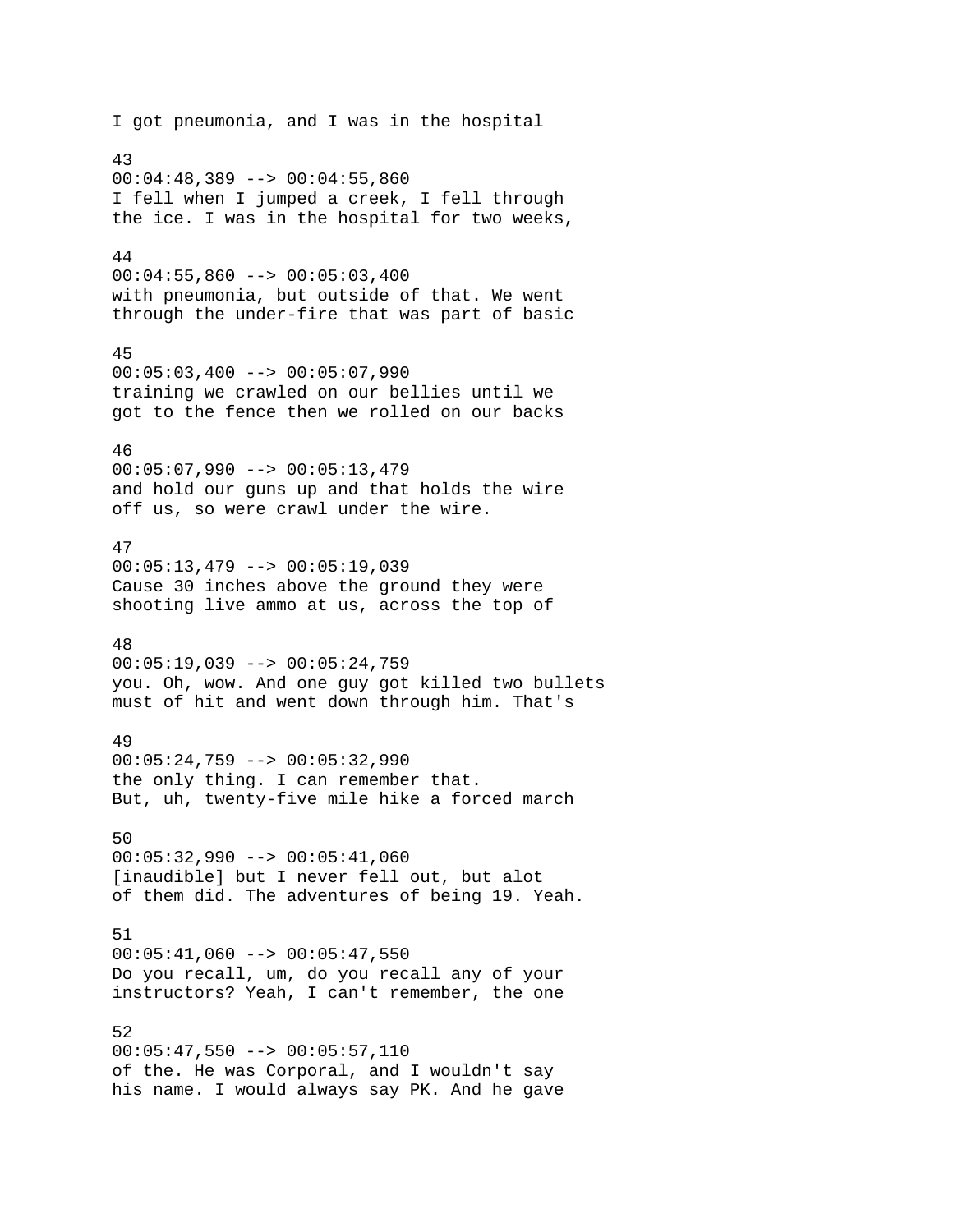I got pneumonia, and I was in the hospital 43  $00:04:48,389$  -->  $00:04:55,860$ I fell when I jumped a creek, I fell through the ice. I was in the hospital for two weeks, 44  $00:04:55,860$  -->  $00:05:03,400$ with pneumonia, but outside of that. We went through the under-fire that was part of basic 45  $00:05:03,400$  -->  $00:05:07,990$ training we crawled on our bellies until we got to the fence then we rolled on our backs 46  $00:05:07,990$  -->  $00:05:13,479$ and hold our guns up and that holds the wire off us, so were crawl under the wire. 47  $00:05:13,479$  -->  $00:05:19,039$ Cause 30 inches above the ground they were shooting live ammo at us, across the top of 48 00:05:19,039 --> 00:05:24,759 you. Oh, wow. And one guy got killed two bullets must of hit and went down through him. That's 49  $00:05:24,759$  -->  $00:05:32,990$ the only thing. I can remember that. But, uh, twenty-five mile hike a forced march 50  $00:05:32,990$  -->  $00:05:41,060$ [inaudible] but I never fell out, but alot of them did. The adventures of being 19. Yeah. 51  $00:05:41,060$  -->  $00:05:47,550$ Do you recall, um, do you recall any of your instructors? Yeah, I can't remember, the one 52  $00:05:47,550$  -->  $00:05:57,110$ of the. He was Corporal, and I wouldn't say his name. I would always say PK. And he gave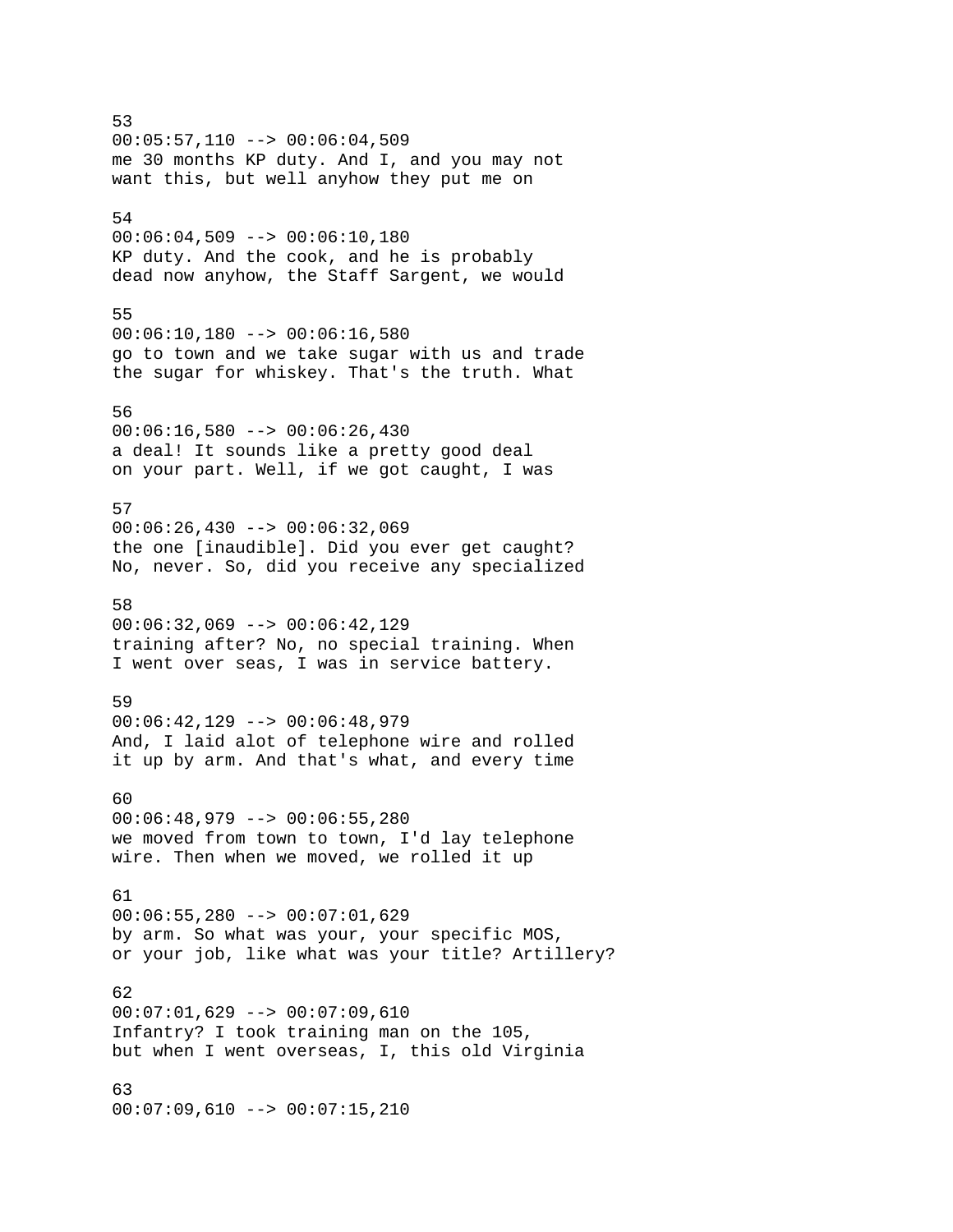53 00:05:57,110 --> 00:06:04,509 me 30 months KP duty. And I, and you may not want this, but well anyhow they put me on 54  $00:06:04,509$  -->  $00:06:10,180$ KP duty. And the cook, and he is probably dead now anyhow, the Staff Sargent, we would 55 00:06:10,180 --> 00:06:16,580 go to town and we take sugar with us and trade the sugar for whiskey. That's the truth. What 56  $00:06:16,580$  -->  $00:06:26,430$ a deal! It sounds like a pretty good deal on your part. Well, if we got caught, I was 57  $00:06:26,430$  -->  $00:06:32,069$ the one [inaudible]. Did you ever get caught? No, never. So, did you receive any specialized 58 00:06:32,069 --> 00:06:42,129 training after? No, no special training. When I went over seas, I was in service battery. 59  $00:06:42,129$  -->  $00:06:48,979$ And, I laid alot of telephone wire and rolled it up by arm. And that's what, and every time 60 00:06:48,979 --> 00:06:55,280 we moved from town to town, I'd lay telephone wire. Then when we moved, we rolled it up 61 00:06:55,280 --> 00:07:01,629 by arm. So what was your, your specific MOS, or your job, like what was your title? Artillery? 62 00:07:01,629 --> 00:07:09,610 Infantry? I took training man on the 105, but when I went overseas, I, this old Virginia 63

00:07:09,610 --> 00:07:15,210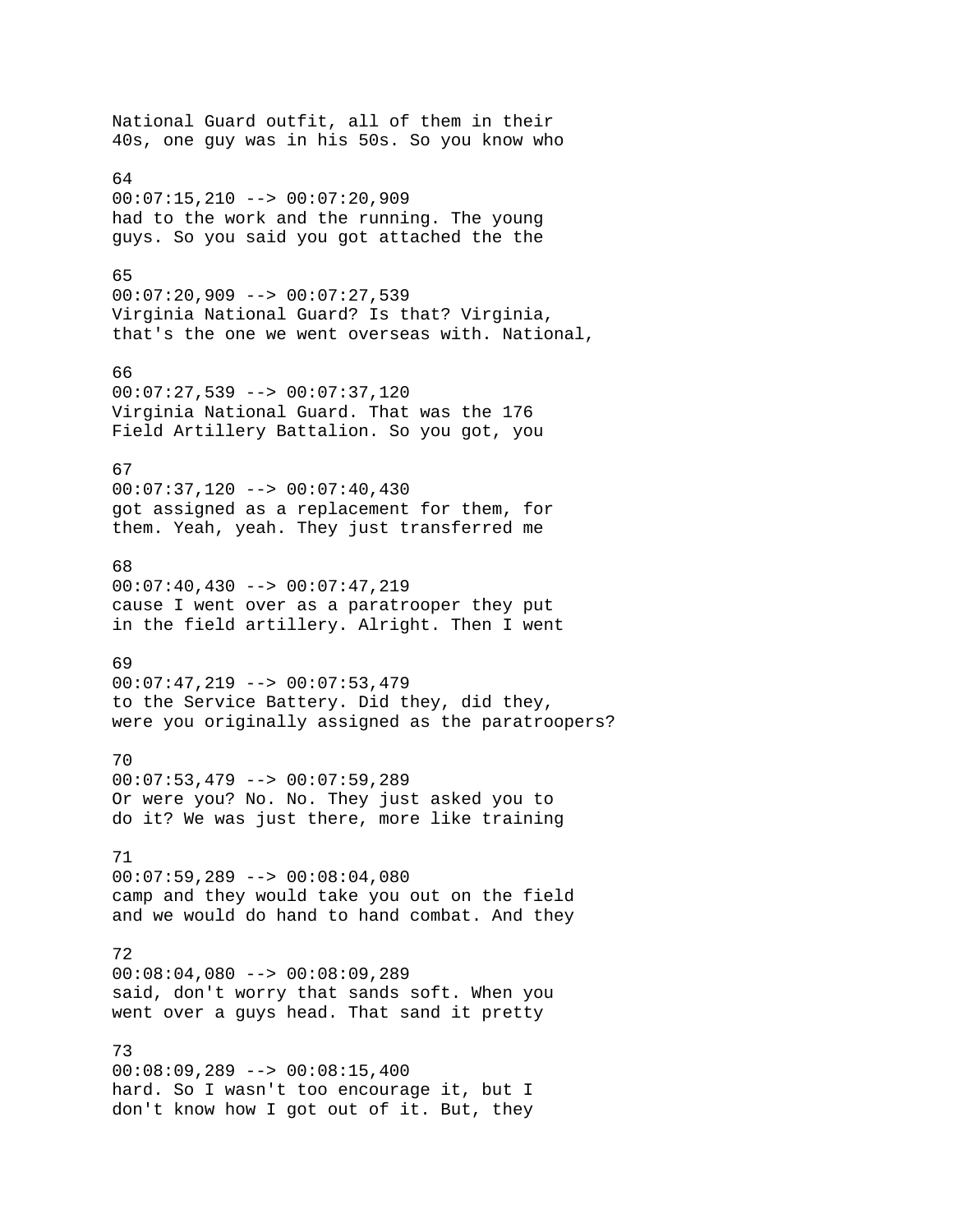National Guard outfit, all of them in their 40s, one guy was in his 50s. So you know who 64 00:07:15,210 --> 00:07:20,909 had to the work and the running. The young guys. So you said you got attached the the 65  $00:07:20,909$  -->  $00:07:27,539$ Virginia National Guard? Is that? Virginia, that's the one we went overseas with. National, 66 00:07:27,539 --> 00:07:37,120 Virginia National Guard. That was the 176 Field Artillery Battalion. So you got, you 67  $00:07:37,120$  -->  $00:07:40,430$ got assigned as a replacement for them, for them. Yeah, yeah. They just transferred me 68  $00:07:40,430$  -->  $00:07:47,219$ cause I went over as a paratrooper they put in the field artillery. Alright. Then I went 69 00:07:47,219 --> 00:07:53,479 to the Service Battery. Did they, did they, were you originally assigned as the paratroopers? 70 00:07:53,479 --> 00:07:59,289 Or were you? No. No. They just asked you to do it? We was just there, more like training 71  $00:07:59,289$  -->  $00:08:04,080$ camp and they would take you out on the field and we would do hand to hand combat. And they 72 00:08:04,080 --> 00:08:09,289 said, don't worry that sands soft. When you went over a guys head. That sand it pretty 73 00:08:09,289 --> 00:08:15,400 hard. So I wasn't too encourage it, but I don't know how I got out of it. But, they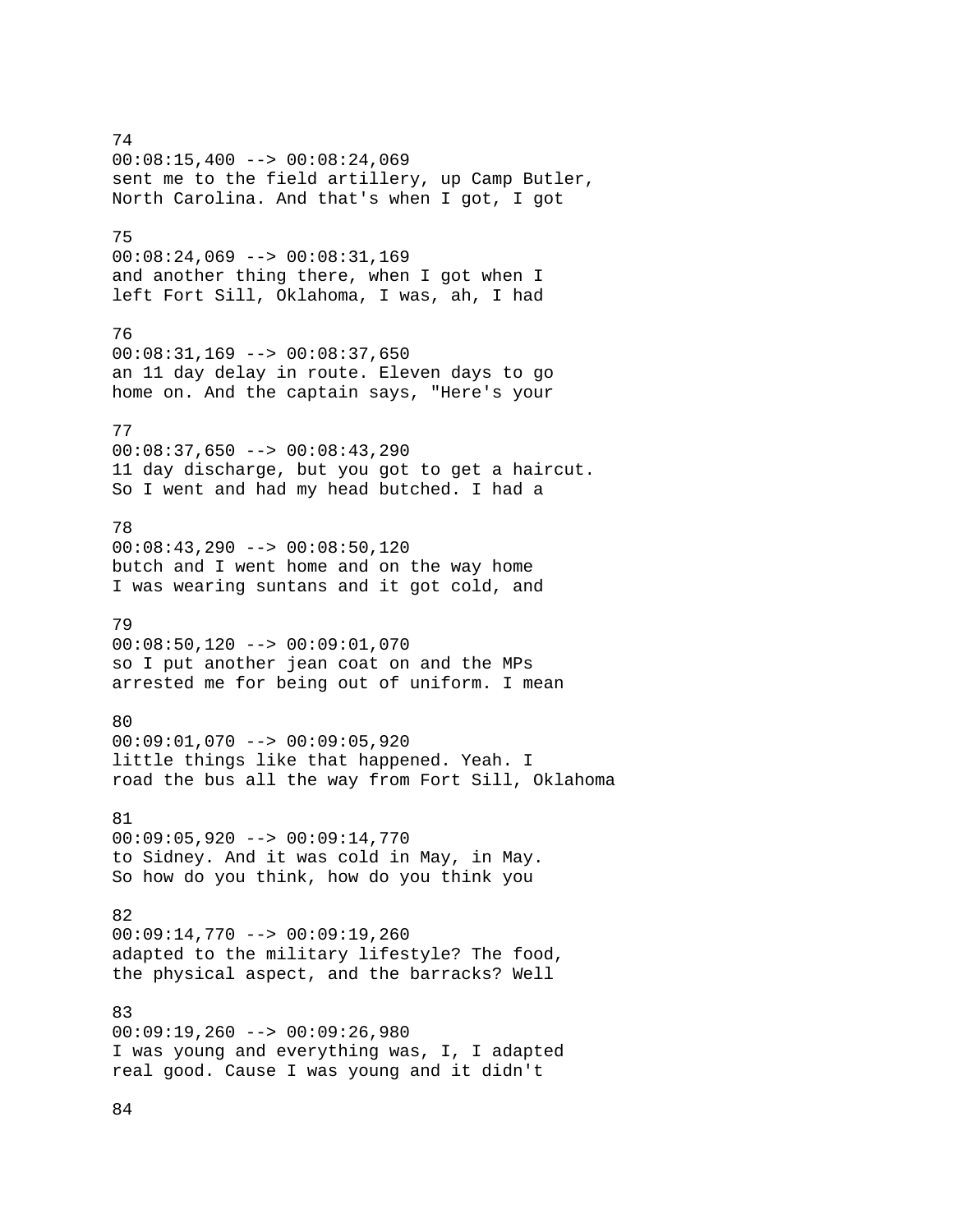74  $00:08:15,400$  -->  $00:08:24,069$ sent me to the field artillery, up Camp Butler, North Carolina. And that's when I got, I got 75 00:08:24,069 --> 00:08:31,169 and another thing there, when I got when I left Fort Sill, Oklahoma, I was, ah, I had 76 00:08:31,169 --> 00:08:37,650 an 11 day delay in route. Eleven days to go home on. And the captain says, "Here's your 77  $00:08:37,650$  -->  $00:08:43,290$ 11 day discharge, but you got to get a haircut. So I went and had my head butched. I had a 78 00:08:43,290 --> 00:08:50,120 butch and I went home and on the way home I was wearing suntans and it got cold, and 79  $00:08:50,120$  -->  $00:09:01,070$ so I put another jean coat on and the MPs arrested me for being out of uniform. I mean 80 00:09:01,070 --> 00:09:05,920 little things like that happened. Yeah. I road the bus all the way from Fort Sill, Oklahoma 81 00:09:05,920 --> 00:09:14,770 to Sidney. And it was cold in May, in May. So how do you think, how do you think you 82 00:09:14,770 --> 00:09:19,260 adapted to the military lifestyle? The food, the physical aspect, and the barracks? Well 83 00:09:19,260 --> 00:09:26,980 I was young and everything was, I, I adapted real good. Cause I was young and it didn't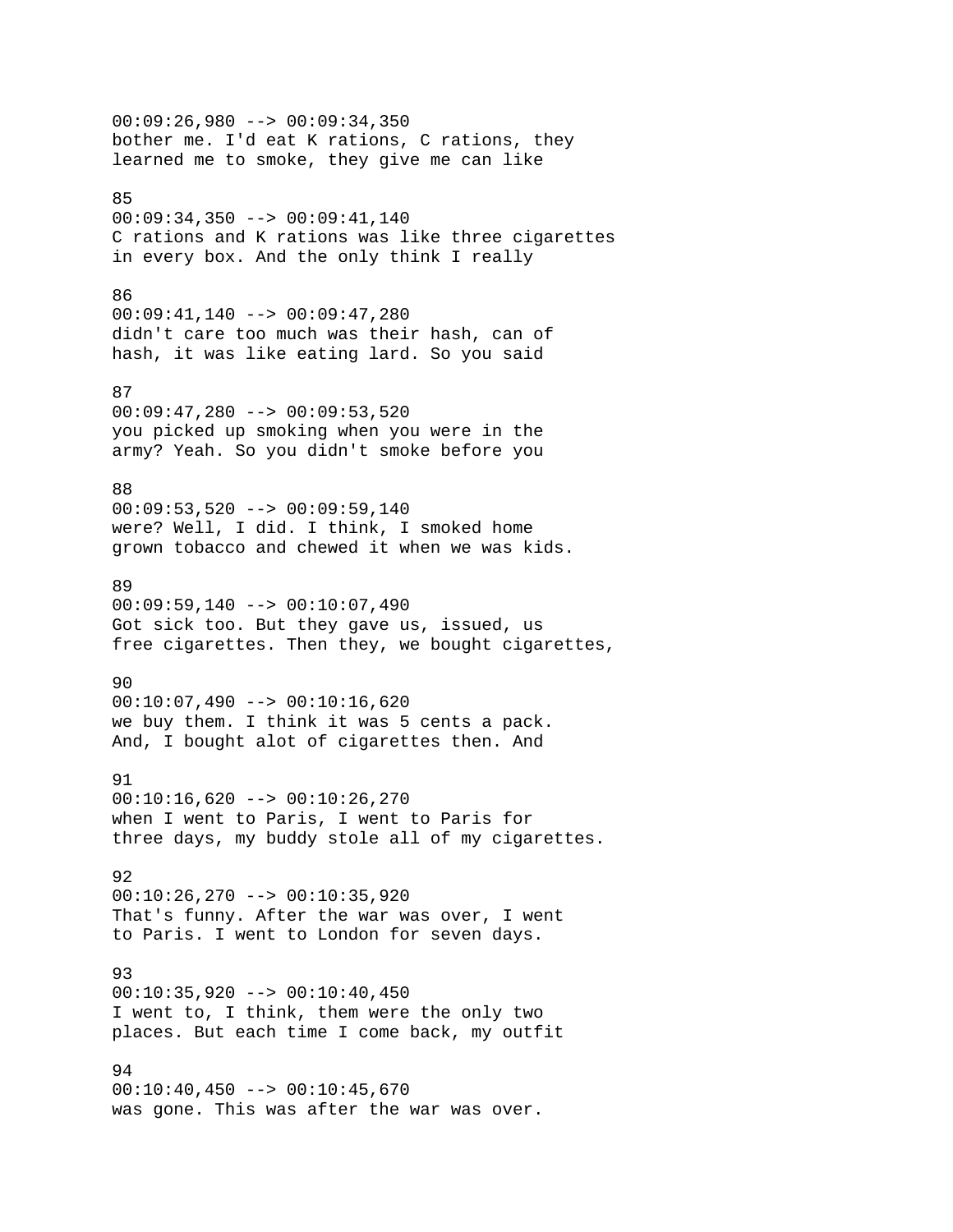00:09:26,980 --> 00:09:34,350 bother me. I'd eat K rations, C rations, they learned me to smoke, they give me can like 85 00:09:34,350 --> 00:09:41,140 C rations and K rations was like three cigarettes in every box. And the only think I really 86 00:09:41,140 --> 00:09:47,280 didn't care too much was their hash, can of hash, it was like eating lard. So you said 87 00:09:47,280 --> 00:09:53,520 you picked up smoking when you were in the army? Yeah. So you didn't smoke before you 88  $00:09:53,520$  -->  $00:09:59,140$ were? Well, I did. I think, I smoked home grown tobacco and chewed it when we was kids. 89 00:09:59,140 --> 00:10:07,490 Got sick too. But they gave us, issued, us free cigarettes. Then they, we bought cigarettes, 90  $00:10:07,490$  -->  $00:10:16,620$ we buy them. I think it was 5 cents a pack. And, I bought alot of cigarettes then. And 91  $00:10:16,620$  -->  $00:10:26,270$ when I went to Paris, I went to Paris for three days, my buddy stole all of my cigarettes. 92 00:10:26,270 --> 00:10:35,920 That's funny. After the war was over, I went to Paris. I went to London for seven days. 93 00:10:35,920 --> 00:10:40,450 I went to, I think, them were the only two places. But each time I come back, my outfit 94  $00:10:40,450$  -->  $00:10:45,670$ was gone. This was after the war was over.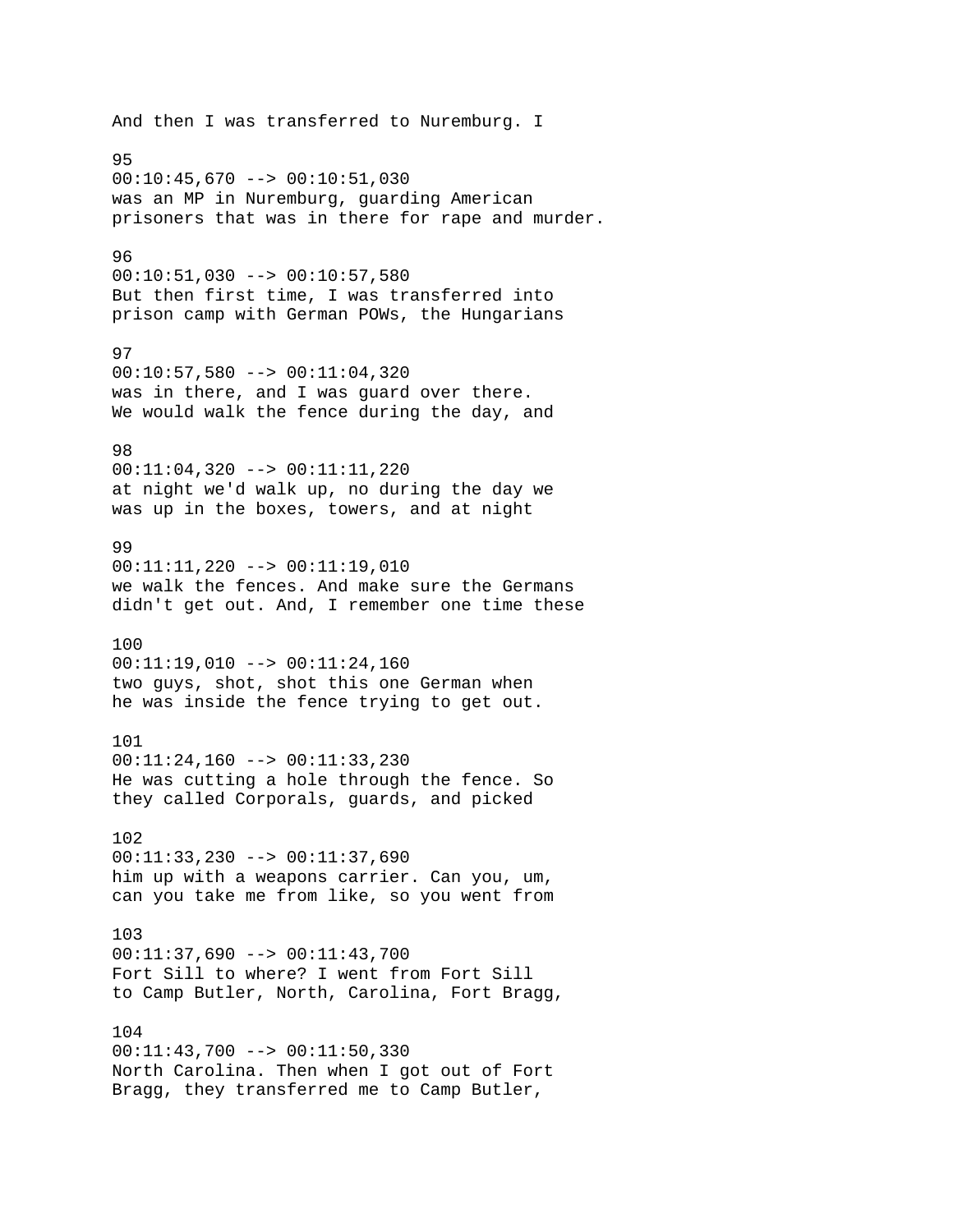And then I was transferred to Nuremburg. I 95  $00:10:45,670$  -->  $00:10:51,030$ was an MP in Nuremburg, guarding American prisoners that was in there for rape and murder. 96 00:10:51,030 --> 00:10:57,580 But then first time, I was transferred into prison camp with German POWs, the Hungarians 97  $00:10:57,580$  -->  $00:11:04,320$ was in there, and I was guard over there. We would walk the fence during the day, and 98 00:11:04,320 --> 00:11:11,220 at night we'd walk up, no during the day we was up in the boxes, towers, and at night 99 00:11:11,220 --> 00:11:19,010 we walk the fences. And make sure the Germans didn't get out. And, I remember one time these 100 00:11:19,010 --> 00:11:24,160 two guys, shot, shot this one German when he was inside the fence trying to get out. 101 00:11:24,160 --> 00:11:33,230 He was cutting a hole through the fence. So they called Corporals, guards, and picked 102 00:11:33,230 --> 00:11:37,690 him up with a weapons carrier. Can you, um, can you take me from like, so you went from 103 00:11:37,690 --> 00:11:43,700 Fort Sill to where? I went from Fort Sill to Camp Butler, North, Carolina, Fort Bragg, 104 00:11:43,700 --> 00:11:50,330 North Carolina. Then when I got out of Fort Bragg, they transferred me to Camp Butler,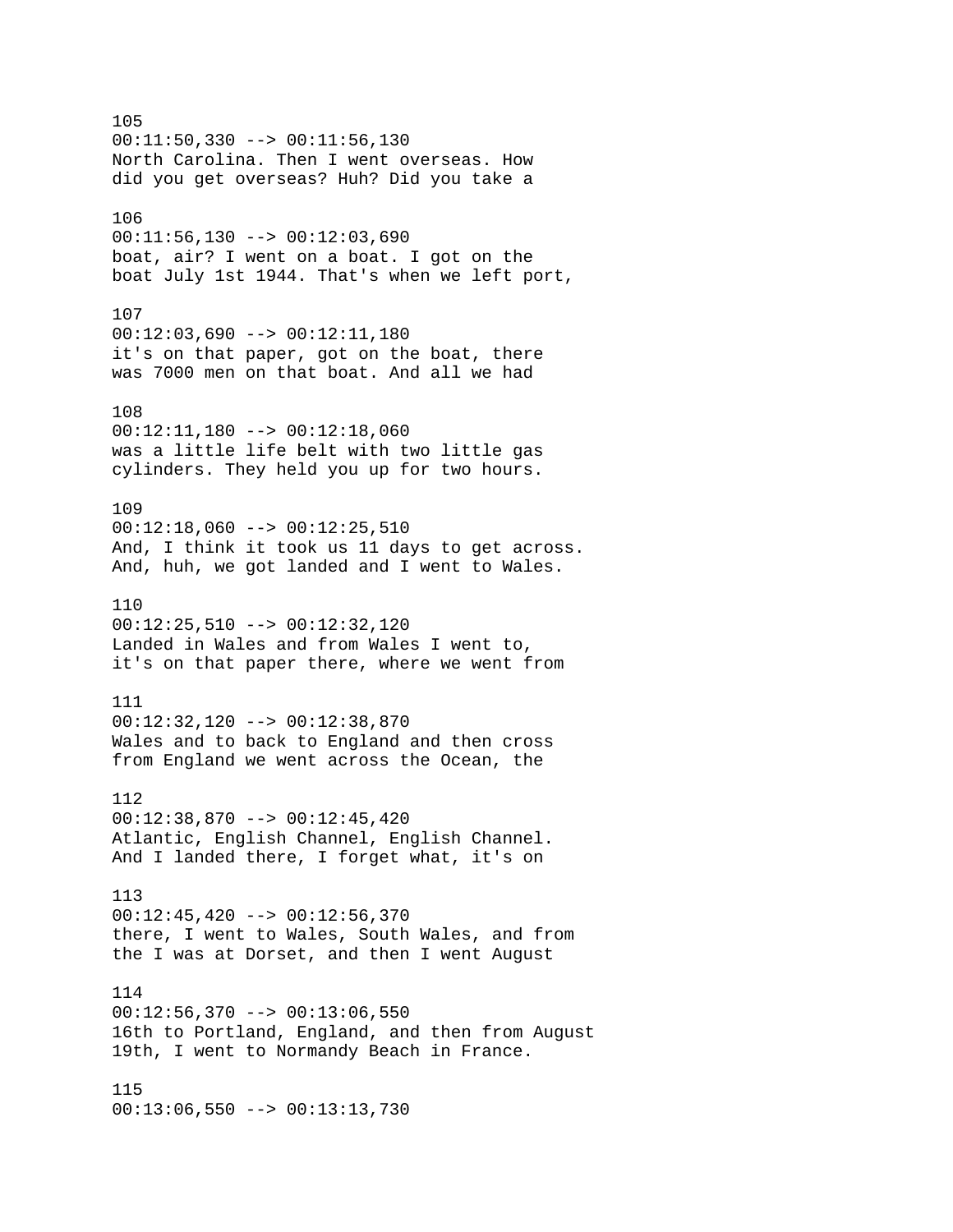105 00:11:50,330 --> 00:11:56,130 North Carolina. Then I went overseas. How did you get overseas? Huh? Did you take a 106 00:11:56,130 --> 00:12:03,690 boat, air? I went on a boat. I got on the boat July 1st 1944. That's when we left port, 107 00:12:03,690 --> 00:12:11,180 it's on that paper, got on the boat, there was 7000 men on that boat. And all we had 108  $00:12:11,180$  -->  $00:12:18,060$ was a little life belt with two little gas cylinders. They held you up for two hours. 109  $00:12:18,060$  -->  $00:12:25,510$ And, I think it took us 11 days to get across. And, huh, we got landed and I went to Wales. 110 00:12:25,510 --> 00:12:32,120 Landed in Wales and from Wales I went to, it's on that paper there, where we went from 111 00:12:32,120 --> 00:12:38,870 Wales and to back to England and then cross from England we went across the Ocean, the 112 00:12:38,870 --> 00:12:45,420 Atlantic, English Channel, English Channel. And I landed there, I forget what, it's on 113  $00:12:45,420$  -->  $00:12:56,370$ there, I went to Wales, South Wales, and from the I was at Dorset, and then I went August 114  $00:12:56,370$  -->  $00:13:06,550$ 16th to Portland, England, and then from August 19th, I went to Normandy Beach in France. 115 00:13:06,550 --> 00:13:13,730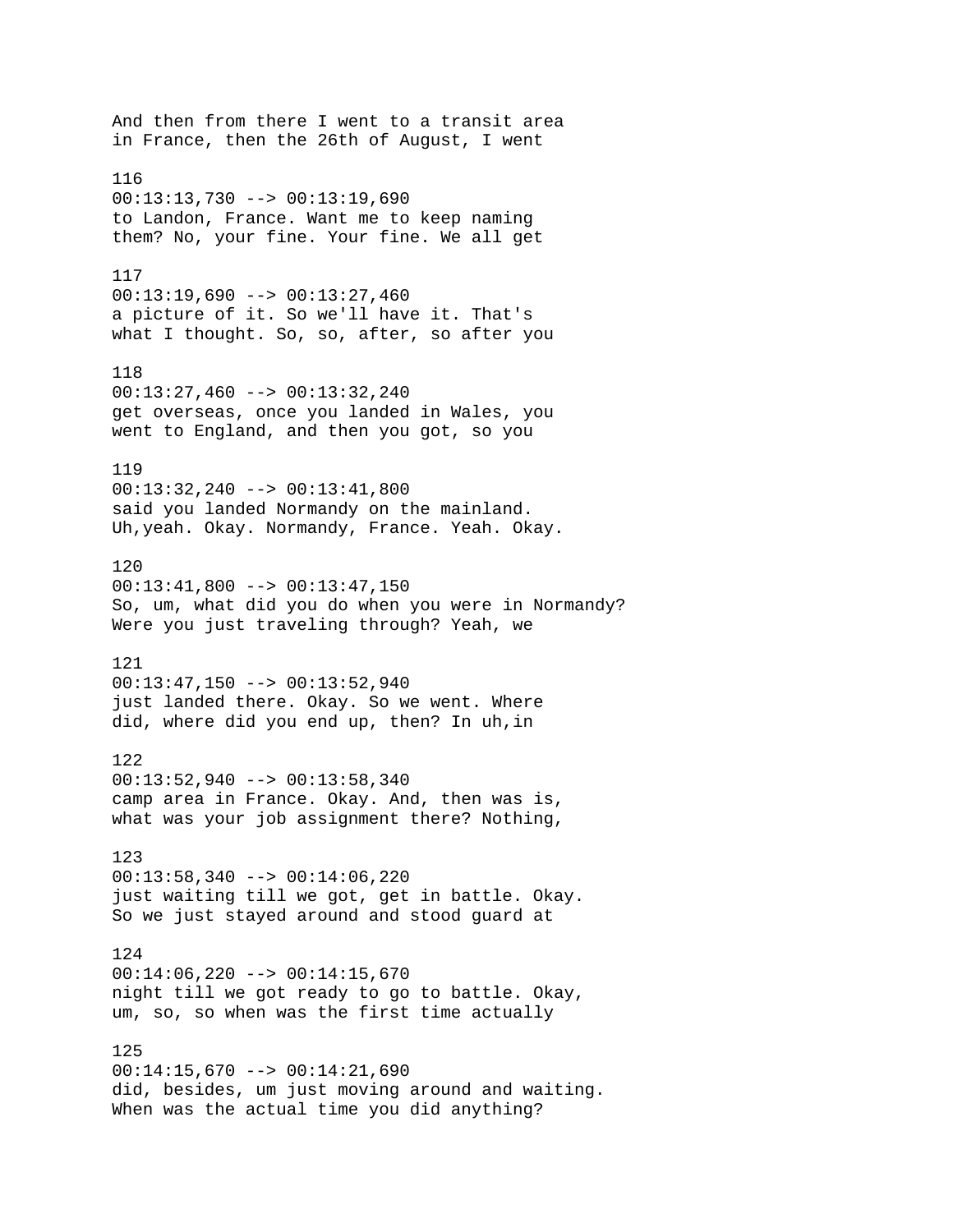And then from there I went to a transit area in France, then the 26th of August, I went 116  $00:13:13,730$  -->  $00:13:19,690$ to Landon, France. Want me to keep naming them? No, your fine. Your fine. We all get 117 00:13:19,690 --> 00:13:27,460 a picture of it. So we'll have it. That's what I thought. So, so, after, so after you 118 00:13:27,460 --> 00:13:32,240 get overseas, once you landed in Wales, you went to England, and then you got, so you 119 00:13:32,240 --> 00:13:41,800 said you landed Normandy on the mainland. Uh,yeah. Okay. Normandy, France. Yeah. Okay. 120  $00:13:41,800$  -->  $00:13:47,150$ So, um, what did you do when you were in Normandy? Were you just traveling through? Yeah, we 121 00:13:47,150 --> 00:13:52,940 just landed there. Okay. So we went. Where did, where did you end up, then? In uh,in 122 00:13:52,940 --> 00:13:58,340 camp area in France. Okay. And, then was is, what was your job assignment there? Nothing, 123  $00:13:58,340$  -->  $00:14:06,220$ just waiting till we got, get in battle. Okay. So we just stayed around and stood guard at 124 00:14:06,220 --> 00:14:15,670 night till we got ready to go to battle. Okay, um, so, so when was the first time actually 125  $00:14:15,670$  -->  $00:14:21,690$ did, besides, um just moving around and waiting. When was the actual time you did anything?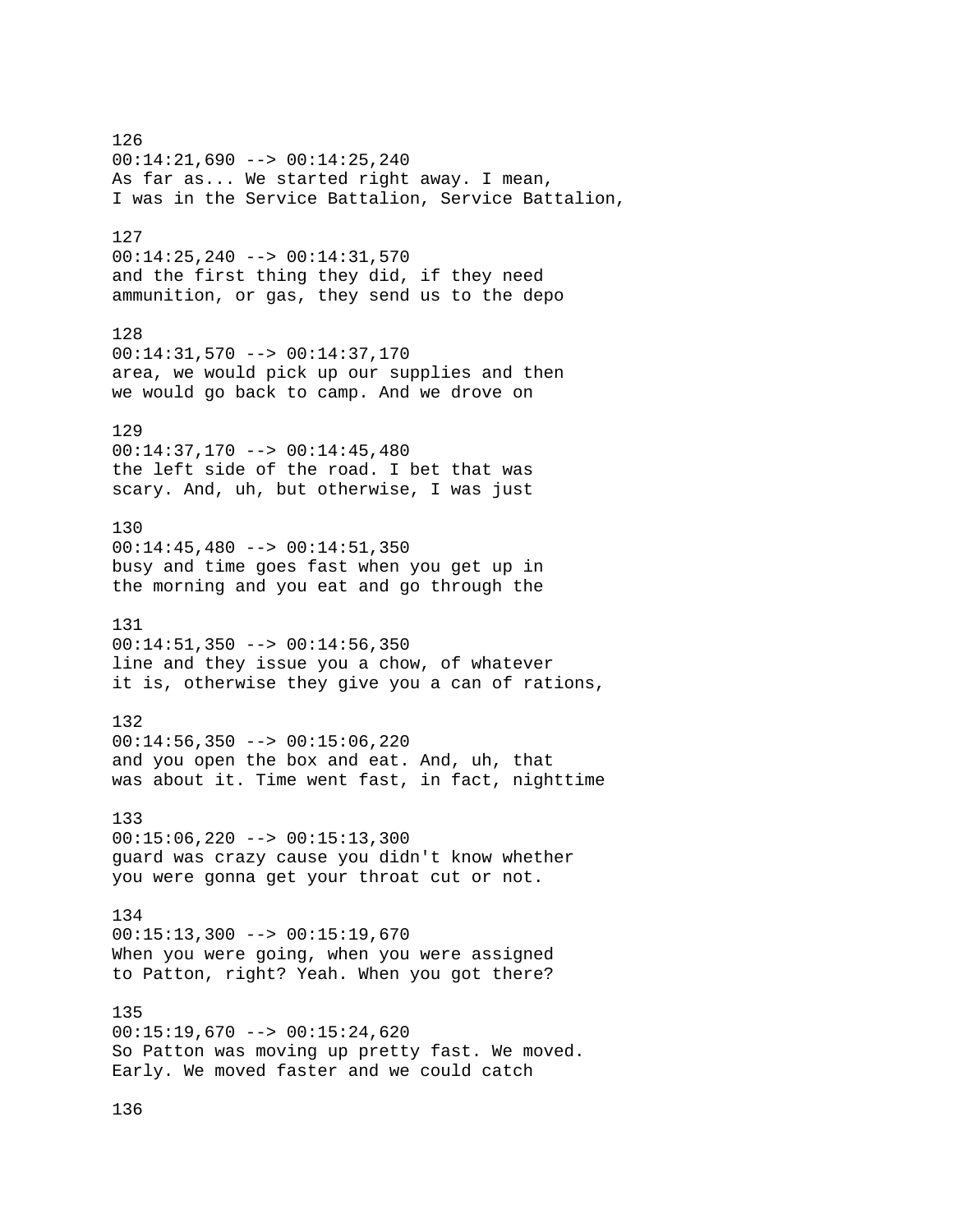126 00:14:21,690 --> 00:14:25,240 As far as... We started right away. I mean, I was in the Service Battalion, Service Battalion, 127 00:14:25,240 --> 00:14:31,570 and the first thing they did, if they need ammunition, or gas, they send us to the depo 128 00:14:31,570 --> 00:14:37,170 area, we would pick up our supplies and then we would go back to camp. And we drove on 129 00:14:37,170 --> 00:14:45,480 the left side of the road. I bet that was scary. And, uh, but otherwise, I was just 130 00:14:45,480 --> 00:14:51,350 busy and time goes fast when you get up in the morning and you eat and go through the 131 00:14:51,350 --> 00:14:56,350 line and they issue you a chow, of whatever it is, otherwise they give you a can of rations, 132  $00:14:56,350$  -->  $00:15:06,220$ and you open the box and eat. And, uh, that was about it. Time went fast, in fact, nighttime 133 00:15:06,220 --> 00:15:13,300 guard was crazy cause you didn't know whether you were gonna get your throat cut or not. 134  $00:15:13,300$  -->  $00:15:19,670$ When you were going, when you were assigned to Patton, right? Yeah. When you got there? 135 00:15:19,670 --> 00:15:24,620 So Patton was moving up pretty fast. We moved. Early. We moved faster and we could catch

136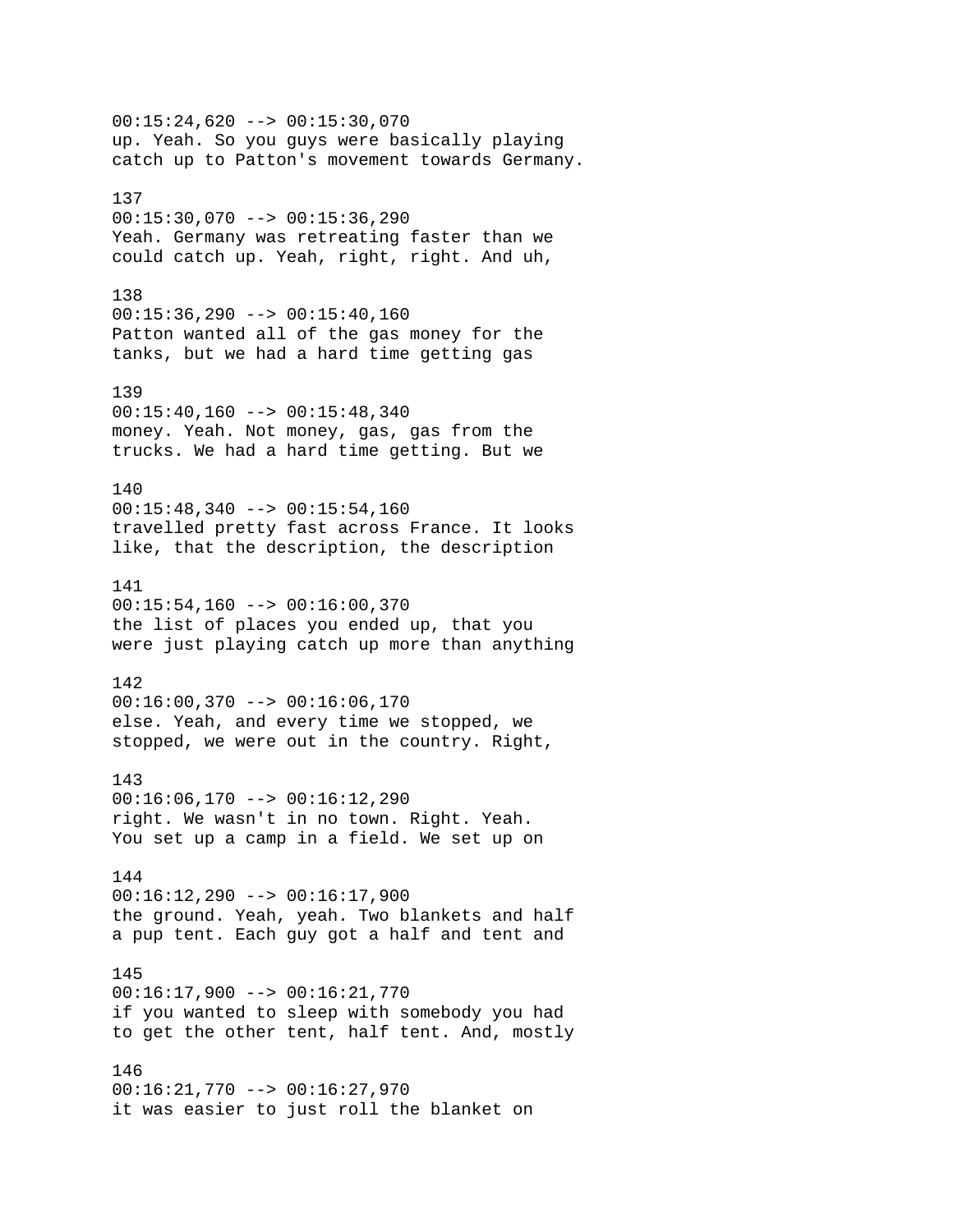00:15:24,620 --> 00:15:30,070 up. Yeah. So you guys were basically playing catch up to Patton's movement towards Germany. 137 00:15:30,070 --> 00:15:36,290 Yeah. Germany was retreating faster than we could catch up. Yeah, right, right. And uh, 138  $00:15:36,290$  -->  $00:15:40,160$ Patton wanted all of the gas money for the tanks, but we had a hard time getting gas 139  $00:15:40,160$  -->  $00:15:48,340$ money. Yeah. Not money, gas, gas from the trucks. We had a hard time getting. But we 140  $00:15:48,340$  -->  $00:15:54,160$ travelled pretty fast across France. It looks like, that the description, the description 141 00:15:54,160 --> 00:16:00,370 the list of places you ended up, that you were just playing catch up more than anything 142  $00:16:00,370$  -->  $00:16:06,170$ else. Yeah, and every time we stopped, we stopped, we were out in the country. Right, 143  $00:16:06,170$  -->  $00:16:12,290$ right. We wasn't in no town. Right. Yeah. You set up a camp in a field. We set up on 144 00:16:12,290 --> 00:16:17,900 the ground. Yeah, yeah. Two blankets and half a pup tent. Each guy got a half and tent and 145 00:16:17,900 --> 00:16:21,770 if you wanted to sleep with somebody you had to get the other tent, half tent. And, mostly 146 00:16:21,770 --> 00:16:27,970 it was easier to just roll the blanket on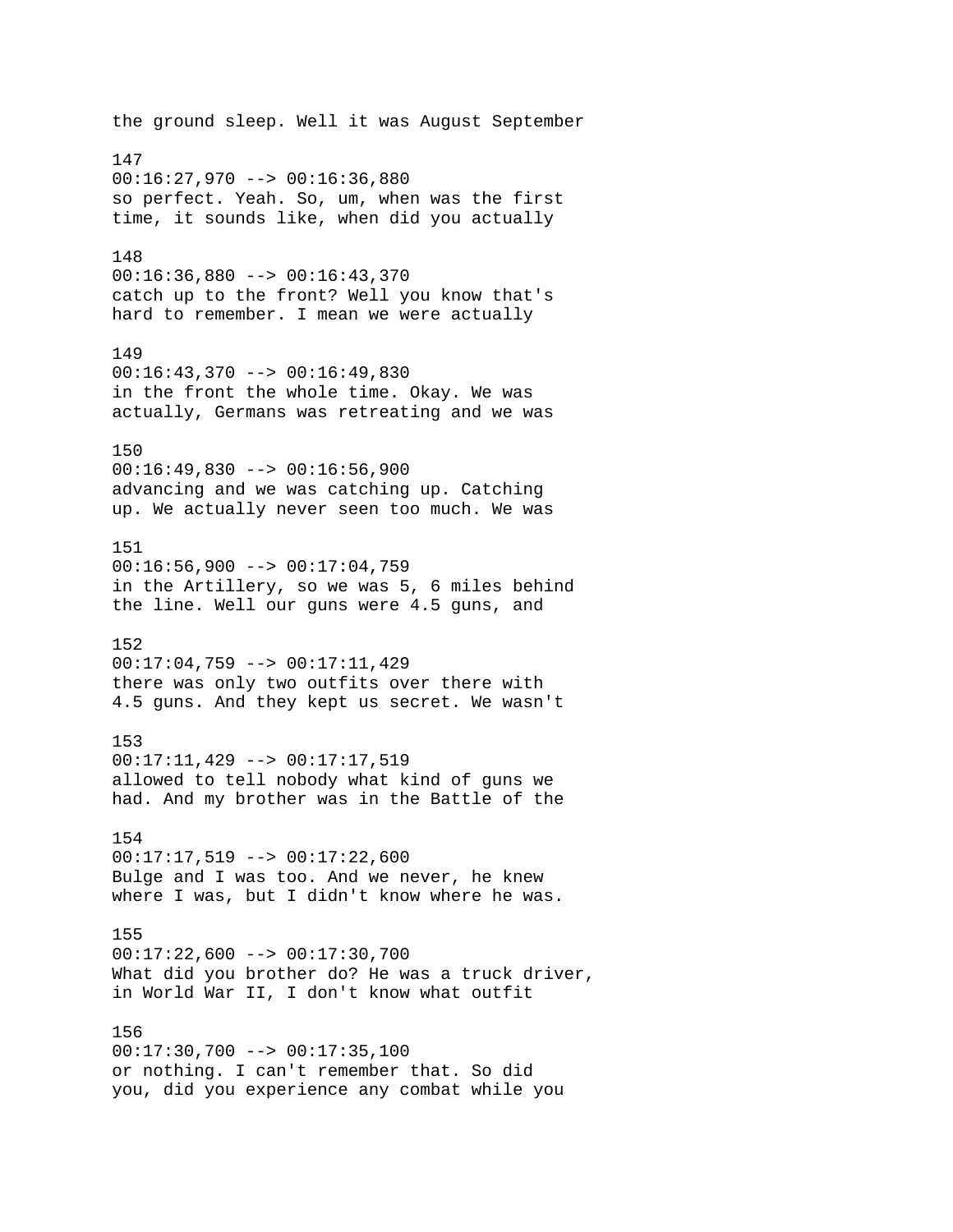the ground sleep. Well it was August September 147 00:16:27,970 --> 00:16:36,880 so perfect. Yeah. So, um, when was the first time, it sounds like, when did you actually 148 00:16:36,880 --> 00:16:43,370 catch up to the front? Well you know that's hard to remember. I mean we were actually 149  $00:16:43,370$  -->  $00:16:49,830$ in the front the whole time. Okay. We was actually, Germans was retreating and we was 150 00:16:49,830 --> 00:16:56,900 advancing and we was catching up. Catching up. We actually never seen too much. We was 151  $00:16:56,900$  -->  $00:17:04,759$ in the Artillery, so we was 5, 6 miles behind the line. Well our guns were 4.5 guns, and 152 00:17:04,759 --> 00:17:11,429 there was only two outfits over there with 4.5 guns. And they kept us secret. We wasn't 153 00:17:11,429 --> 00:17:17,519 allowed to tell nobody what kind of guns we had. And my brother was in the Battle of the 154  $00:17:17,519$  -->  $00:17:22,600$ Bulge and I was too. And we never, he knew where I was, but I didn't know where he was. 155 00:17:22,600 --> 00:17:30,700 What did you brother do? He was a truck driver, in World War II, I don't know what outfit 156 00:17:30,700 --> 00:17:35,100 or nothing. I can't remember that. So did you, did you experience any combat while you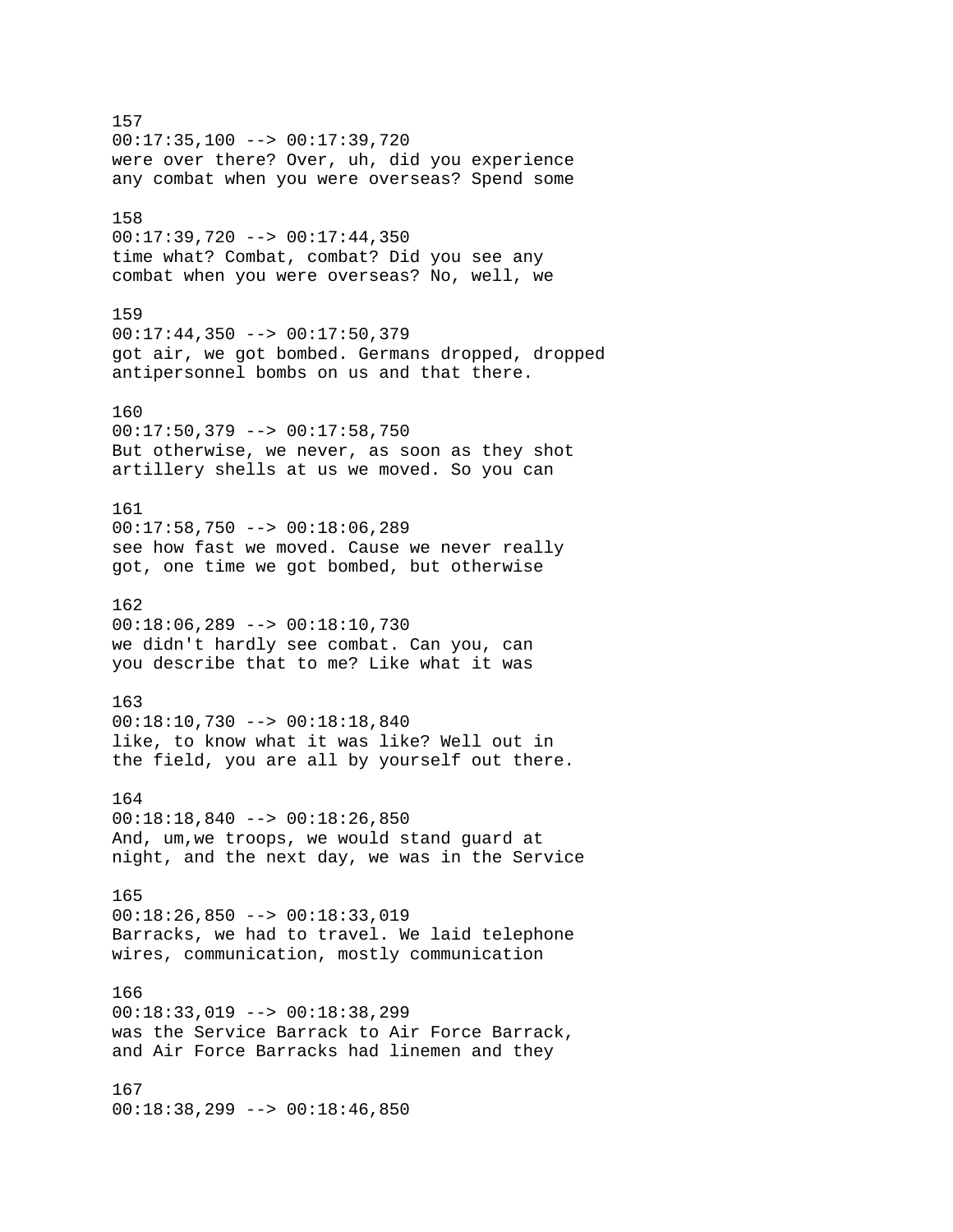157 00:17:35,100 --> 00:17:39,720 were over there? Over, uh, did you experience any combat when you were overseas? Spend some 158  $00:17:39,720$  -->  $00:17:44,350$ time what? Combat, combat? Did you see any combat when you were overseas? No, well, we 159 00:17:44,350 --> 00:17:50,379 got air, we got bombed. Germans dropped, dropped antipersonnel bombs on us and that there. 160 00:17:50,379 --> 00:17:58,750 But otherwise, we never, as soon as they shot artillery shells at us we moved. So you can 161  $00:17:58,750$  -->  $00:18:06,289$ see how fast we moved. Cause we never really got, one time we got bombed, but otherwise 162 00:18:06,289 --> 00:18:10,730 we didn't hardly see combat. Can you, can you describe that to me? Like what it was 163 00:18:10,730 --> 00:18:18,840 like, to know what it was like? Well out in the field, you are all by yourself out there. 164 00:18:18,840 --> 00:18:26,850 And, um,we troops, we would stand guard at night, and the next day, we was in the Service 165  $00:18:26,850$  -->  $00:18:33,019$ Barracks, we had to travel. We laid telephone wires, communication, mostly communication 166 00:18:33,019 --> 00:18:38,299 was the Service Barrack to Air Force Barrack, and Air Force Barracks had linemen and they 167 00:18:38,299 --> 00:18:46,850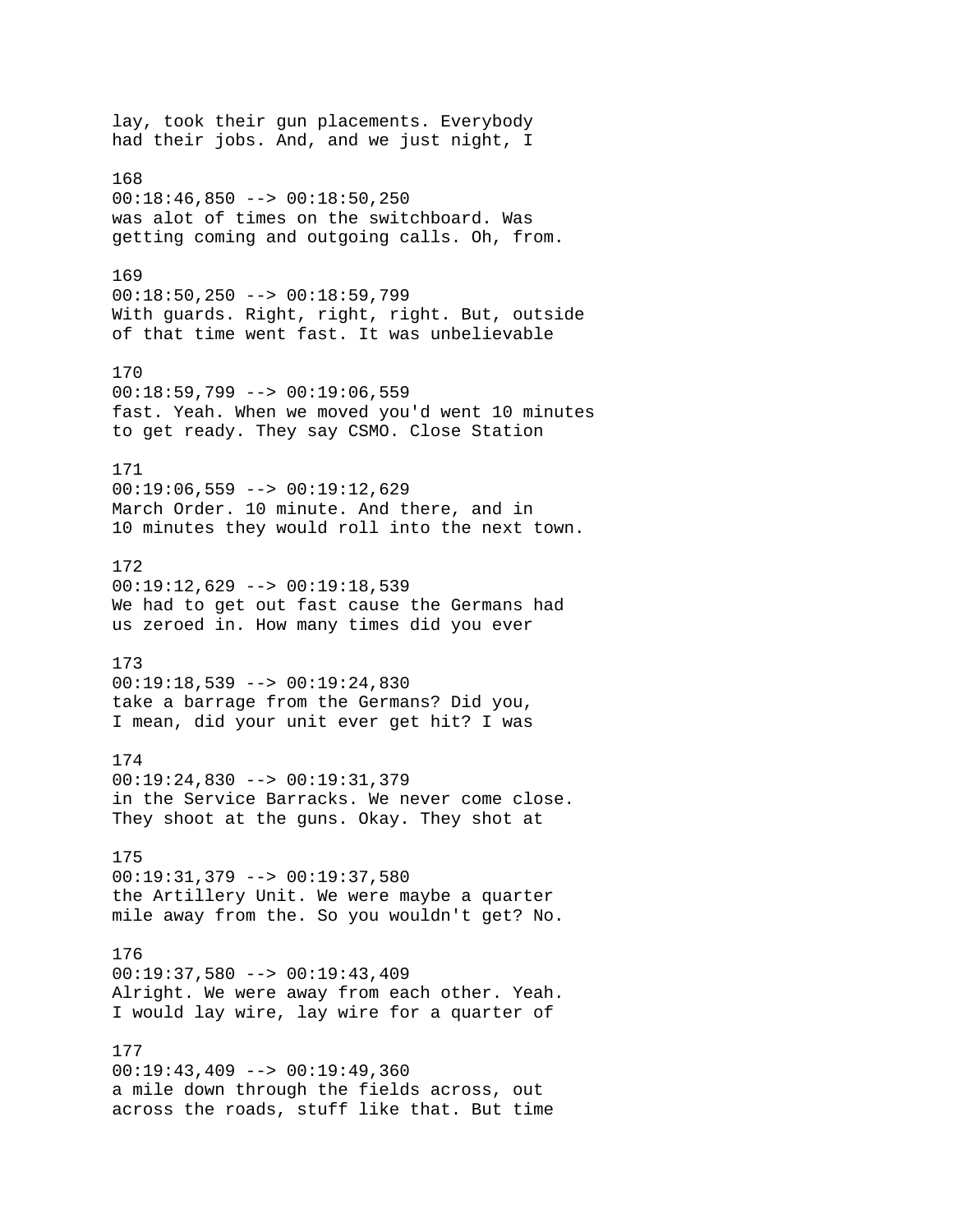lay, took their gun placements. Everybody had their jobs. And, and we just night, I 168  $00:18:46,850$  -->  $00:18:50,250$ was alot of times on the switchboard. Was getting coming and outgoing calls. Oh, from. 169 00:18:50,250 --> 00:18:59,799 With guards. Right, right, right. But, outside of that time went fast. It was unbelievable 170 00:18:59,799 --> 00:19:06,559 fast. Yeah. When we moved you'd went 10 minutes to get ready. They say CSMO. Close Station 171  $00:19:06,559$  -->  $00:19:12,629$ March Order. 10 minute. And there, and in 10 minutes they would roll into the next town. 172  $00:19:12,629$  -->  $00:19:18,539$ We had to get out fast cause the Germans had us zeroed in. How many times did you ever 173 00:19:18,539 --> 00:19:24,830 take a barrage from the Germans? Did you, I mean, did your unit ever get hit? I was 174 00:19:24,830 --> 00:19:31,379 in the Service Barracks. We never come close. They shoot at the guns. Okay. They shot at 175 00:19:31,379 --> 00:19:37,580 the Artillery Unit. We were maybe a quarter mile away from the. So you wouldn't get? No. 176 00:19:37,580 --> 00:19:43,409 Alright. We were away from each other. Yeah. I would lay wire, lay wire for a quarter of 177  $00:19:43,409$  -->  $00:19:49,360$ a mile down through the fields across, out across the roads, stuff like that. But time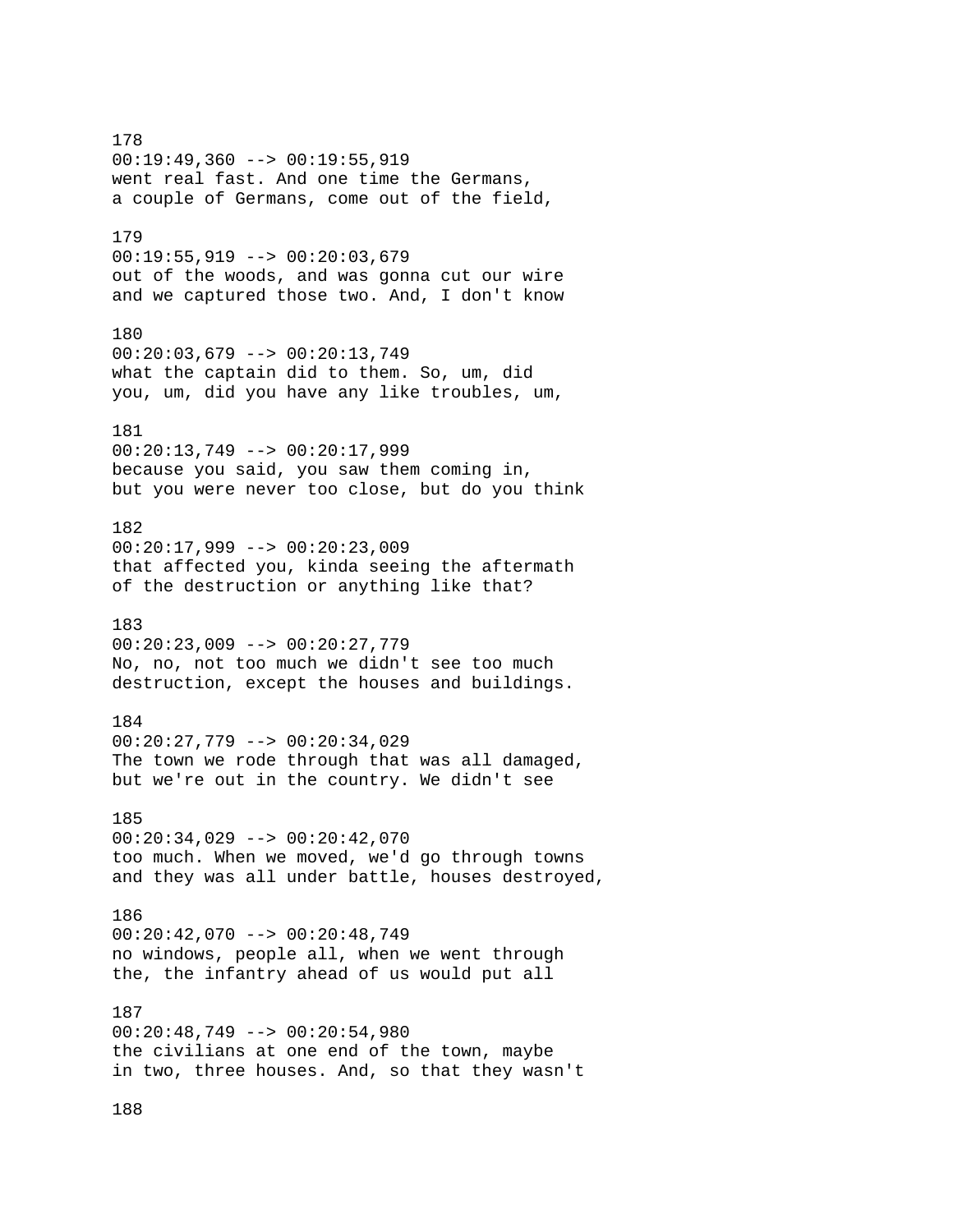178 00:19:49,360 --> 00:19:55,919 went real fast. And one time the Germans, a couple of Germans, come out of the field, 179 00:19:55,919 --> 00:20:03,679 out of the woods, and was gonna cut our wire and we captured those two. And, I don't know 180 00:20:03,679 --> 00:20:13,749 what the captain did to them. So, um, did you, um, did you have any like troubles, um, 181 00:20:13,749 --> 00:20:17,999 because you said, you saw them coming in, but you were never too close, but do you think 182 00:20:17,999 --> 00:20:23,009 that affected you, kinda seeing the aftermath of the destruction or anything like that? 183 00:20:23,009 --> 00:20:27,779 No, no, not too much we didn't see too much destruction, except the houses and buildings. 184 00:20:27,779 --> 00:20:34,029 The town we rode through that was all damaged, but we're out in the country. We didn't see 185 00:20:34,029 --> 00:20:42,070 too much. When we moved, we'd go through towns and they was all under battle, houses destroyed, 186 00:20:42,070 --> 00:20:48,749 no windows, people all, when we went through the, the infantry ahead of us would put all 187 00:20:48,749 --> 00:20:54,980 the civilians at one end of the town, maybe in two, three houses. And, so that they wasn't

188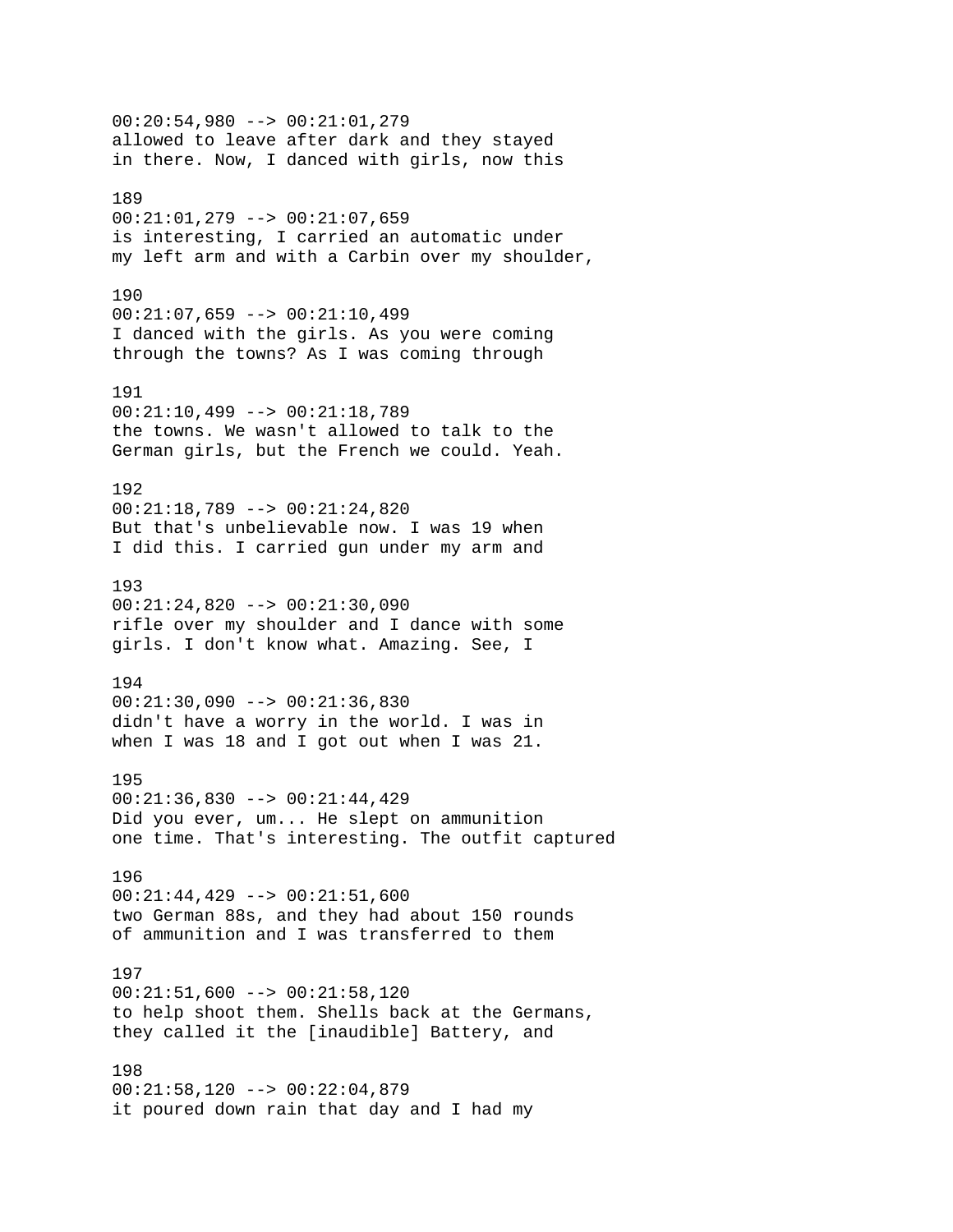00:20:54,980 --> 00:21:01,279 allowed to leave after dark and they stayed in there. Now, I danced with girls, now this 189 00:21:01,279 --> 00:21:07,659 is interesting, I carried an automatic under my left arm and with a Carbin over my shoulder, 190 00:21:07,659 --> 00:21:10,499 I danced with the girls. As you were coming through the towns? As I was coming through 191 00:21:10,499 --> 00:21:18,789 the towns. We wasn't allowed to talk to the German girls, but the French we could. Yeah. 192 00:21:18,789 --> 00:21:24,820 But that's unbelievable now. I was 19 when I did this. I carried gun under my arm and 193 00:21:24,820 --> 00:21:30,090 rifle over my shoulder and I dance with some girls. I don't know what. Amazing. See, I 194 00:21:30,090 --> 00:21:36,830 didn't have a worry in the world. I was in when I was 18 and I got out when I was 21. 195 00:21:36,830 --> 00:21:44,429 Did you ever, um... He slept on ammunition one time. That's interesting. The outfit captured 196 00:21:44,429 --> 00:21:51,600 two German 88s, and they had about 150 rounds of ammunition and I was transferred to them 197 00:21:51,600 --> 00:21:58,120 to help shoot them. Shells back at the Germans, they called it the [inaudible] Battery, and 198 00:21:58,120 --> 00:22:04,879 it poured down rain that day and I had my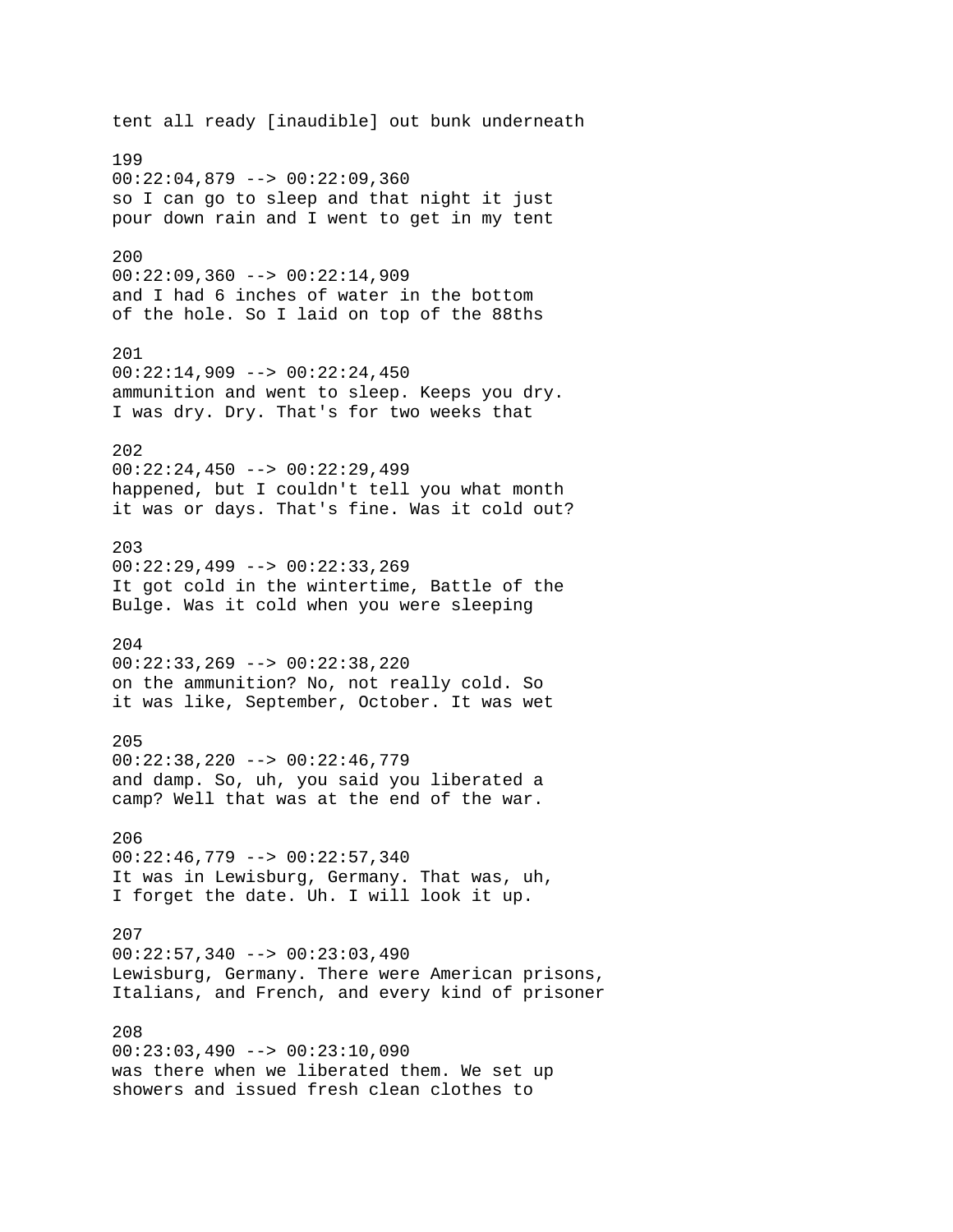tent all ready [inaudible] out bunk underneath 199 00:22:04,879 --> 00:22:09,360 so I can go to sleep and that night it just pour down rain and I went to get in my tent 200  $00:22:09,360$  -->  $00:22:14,909$ and I had 6 inches of water in the bottom of the hole. So I laid on top of the 88ths 201  $00:22:14,909$  -->  $00:22:24,450$ ammunition and went to sleep. Keeps you dry. I was dry. Dry. That's for two weeks that 202 00:22:24,450 --> 00:22:29,499 happened, but I couldn't tell you what month it was or days. That's fine. Was it cold out? 203 00:22:29,499 --> 00:22:33,269 It got cold in the wintertime, Battle of the Bulge. Was it cold when you were sleeping 204 00:22:33,269 --> 00:22:38,220 on the ammunition? No, not really cold. So it was like, September, October. It was wet 205 00:22:38,220 --> 00:22:46,779 and damp. So, uh, you said you liberated a camp? Well that was at the end of the war. 206 00:22:46,779 --> 00:22:57,340 It was in Lewisburg, Germany. That was, uh, I forget the date. Uh. I will look it up. 207  $00:22:57,340$  -->  $00:23:03,490$ Lewisburg, Germany. There were American prisons, Italians, and French, and every kind of prisoner 208 00:23:03,490 --> 00:23:10,090 was there when we liberated them. We set up showers and issued fresh clean clothes to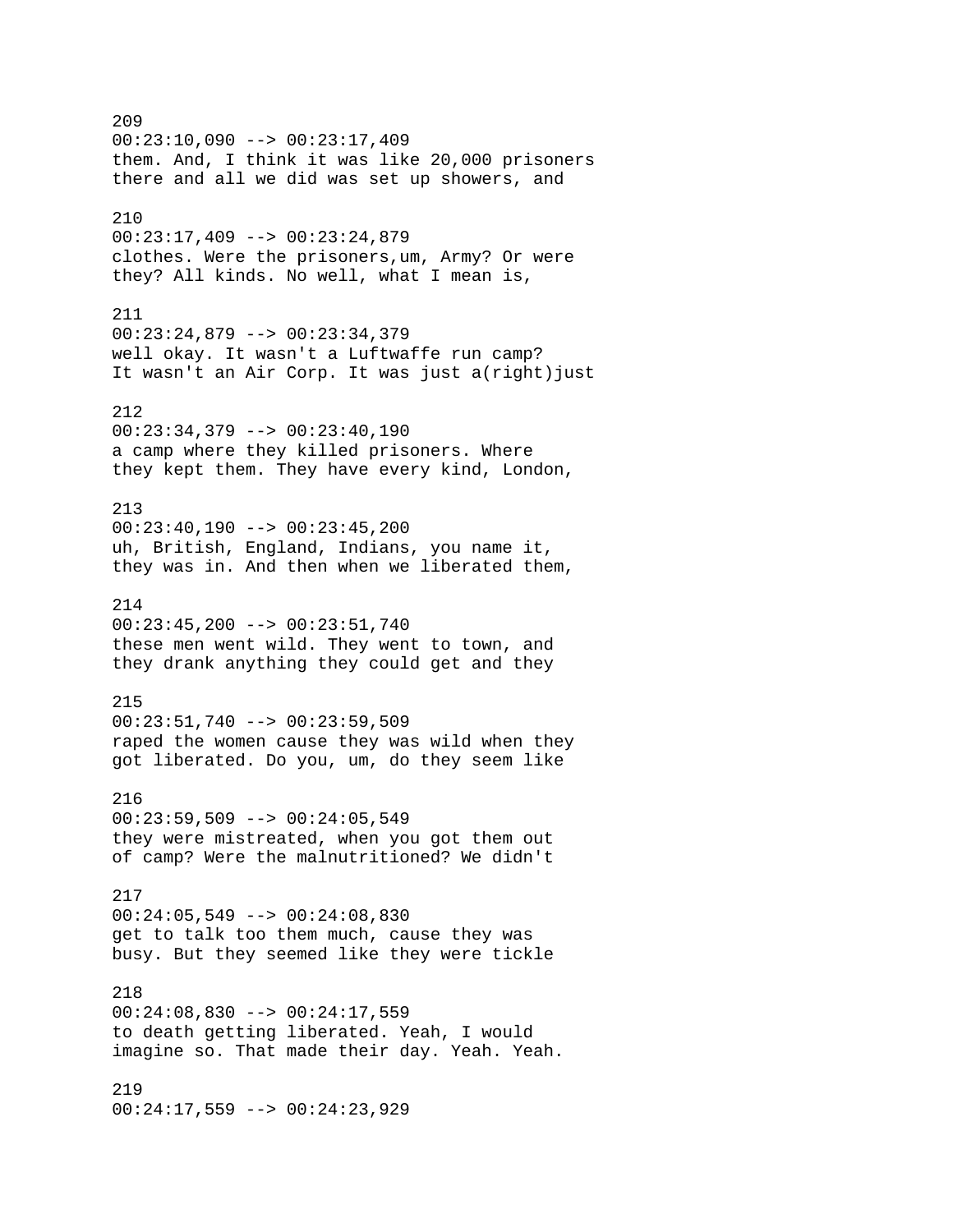209 00:23:10,090 --> 00:23:17,409 them. And, I think it was like 20,000 prisoners there and all we did was set up showers, and 210  $00:23:17,409$  -->  $00:23:24,879$ clothes. Were the prisoners,um, Army? Or were they? All kinds. No well, what I mean is, 211 00:23:24,879 --> 00:23:34,379 well okay. It wasn't a Luftwaffe run camp? It wasn't an Air Corp. It was just a(right) just 212  $00:23:34,379$  -->  $00:23:40,190$ a camp where they killed prisoners. Where they kept them. They have every kind, London, 213  $00:23:40,190$  -->  $00:23:45,200$ uh, British, England, Indians, you name it, they was in. And then when we liberated them, 214 00:23:45,200 --> 00:23:51,740 these men went wild. They went to town, and they drank anything they could get and they 215  $00:23:51,740$  -->  $00:23:59,509$ raped the women cause they was wild when they got liberated. Do you, um, do they seem like 216 00:23:59,509 --> 00:24:05,549 they were mistreated, when you got them out of camp? Were the malnutritioned? We didn't 217 00:24:05,549 --> 00:24:08,830 get to talk too them much, cause they was busy. But they seemed like they were tickle 218 00:24:08,830 --> 00:24:17,559 to death getting liberated. Yeah, I would imagine so. That made their day. Yeah. Yeah. 219 00:24:17,559 --> 00:24:23,929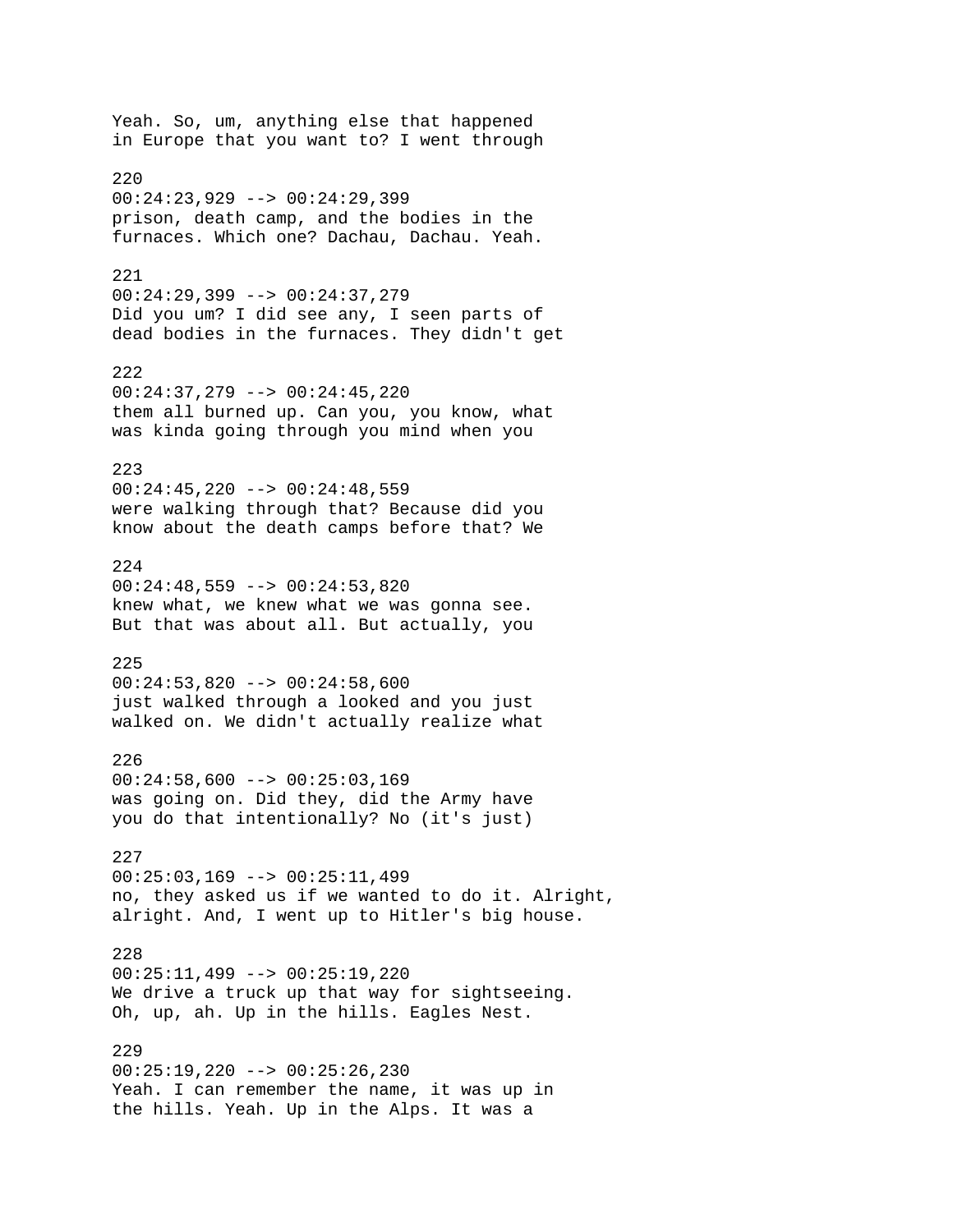Yeah. So, um, anything else that happened in Europe that you want to? I went through 220 00:24:23,929 --> 00:24:29,399 prison, death camp, and the bodies in the furnaces. Which one? Dachau, Dachau. Yeah. 221 00:24:29,399 --> 00:24:37,279 Did you um? I did see any, I seen parts of dead bodies in the furnaces. They didn't get 222 00:24:37,279 --> 00:24:45,220 them all burned up. Can you, you know, what was kinda going through you mind when you 223  $00:24:45,220$  -->  $00:24:48,559$ were walking through that? Because did you know about the death camps before that? We 224  $00:24:48,559$  -->  $00:24:53,820$ knew what, we knew what we was gonna see. But that was about all. But actually, you 225 00:24:53,820 --> 00:24:58,600 just walked through a looked and you just walked on. We didn't actually realize what 226  $00:24:58,600$  -->  $00:25:03,169$ was going on. Did they, did the Army have you do that intentionally? No (it's just) 227  $00:25:03,169$  -->  $00:25:11,499$ no, they asked us if we wanted to do it. Alright, alright. And, I went up to Hitler's big house. 228 00:25:11,499 --> 00:25:19,220 We drive a truck up that way for sightseeing. Oh, up, ah. Up in the hills. Eagles Nest. 229 00:25:19,220 --> 00:25:26,230 Yeah. I can remember the name, it was up in the hills. Yeah. Up in the Alps. It was a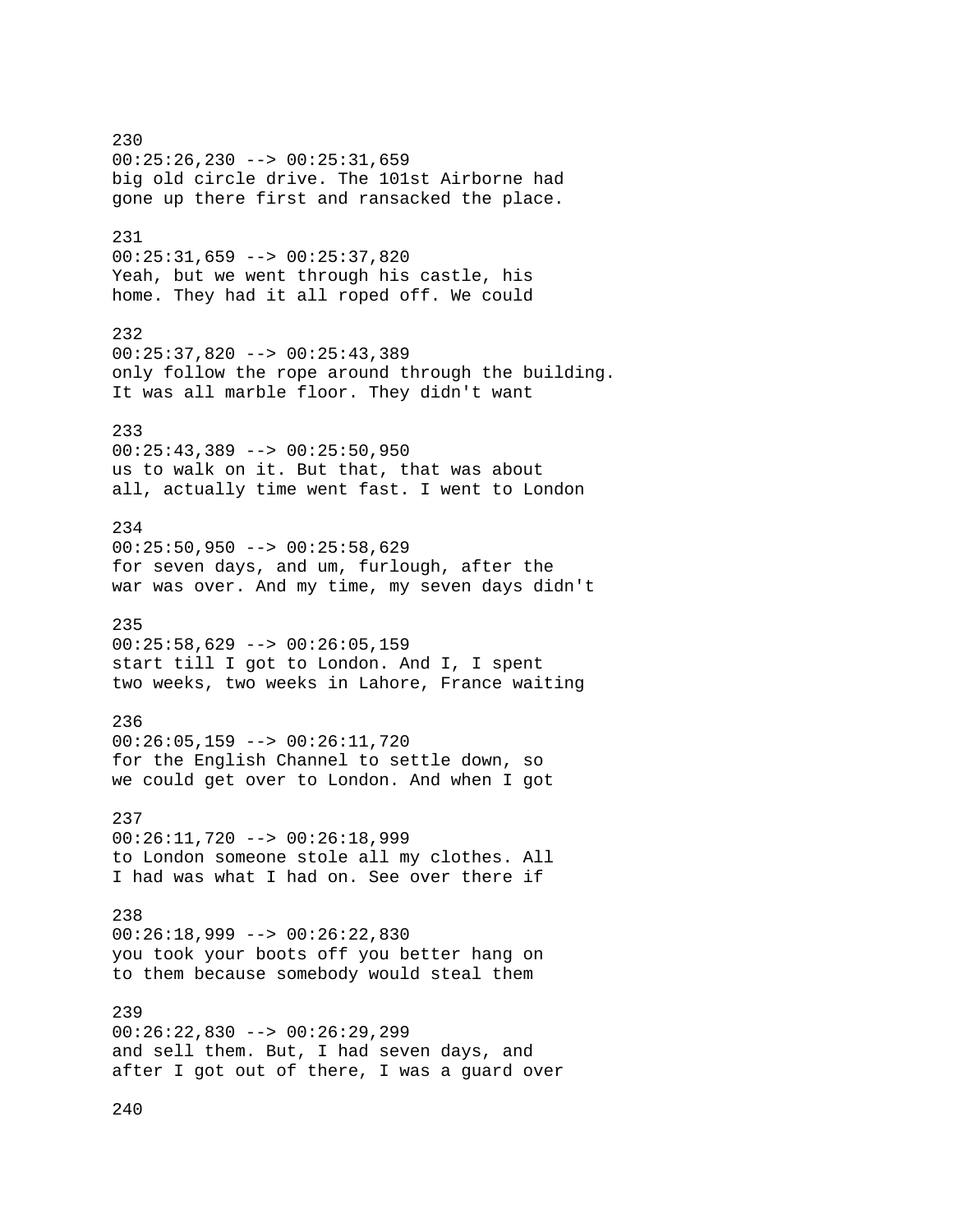230 00:25:26,230 --> 00:25:31,659 big old circle drive. The 101st Airborne had gone up there first and ransacked the place. 231 00:25:31,659 --> 00:25:37,820 Yeah, but we went through his castle, his home. They had it all roped off. We could 232 00:25:37,820 --> 00:25:43,389 only follow the rope around through the building. It was all marble floor. They didn't want 233  $00:25:43,389$  -->  $00:25:50,950$ us to walk on it. But that, that was about all, actually time went fast. I went to London 234 00:25:50,950 --> 00:25:58,629 for seven days, and um, furlough, after the war was over. And my time, my seven days didn't 235  $00:25:58,629$  -->  $00:26:05,159$ start till I got to London. And I, I spent two weeks, two weeks in Lahore, France waiting 236 00:26:05,159 --> 00:26:11,720 for the English Channel to settle down, so we could get over to London. And when I got 237 00:26:11,720 --> 00:26:18,999 to London someone stole all my clothes. All I had was what I had on. See over there if 238 00:26:18,999 --> 00:26:22,830 you took your boots off you better hang on to them because somebody would steal them 239 00:26:22,830 --> 00:26:29,299 and sell them. But, I had seven days, and after I got out of there, I was a guard over

240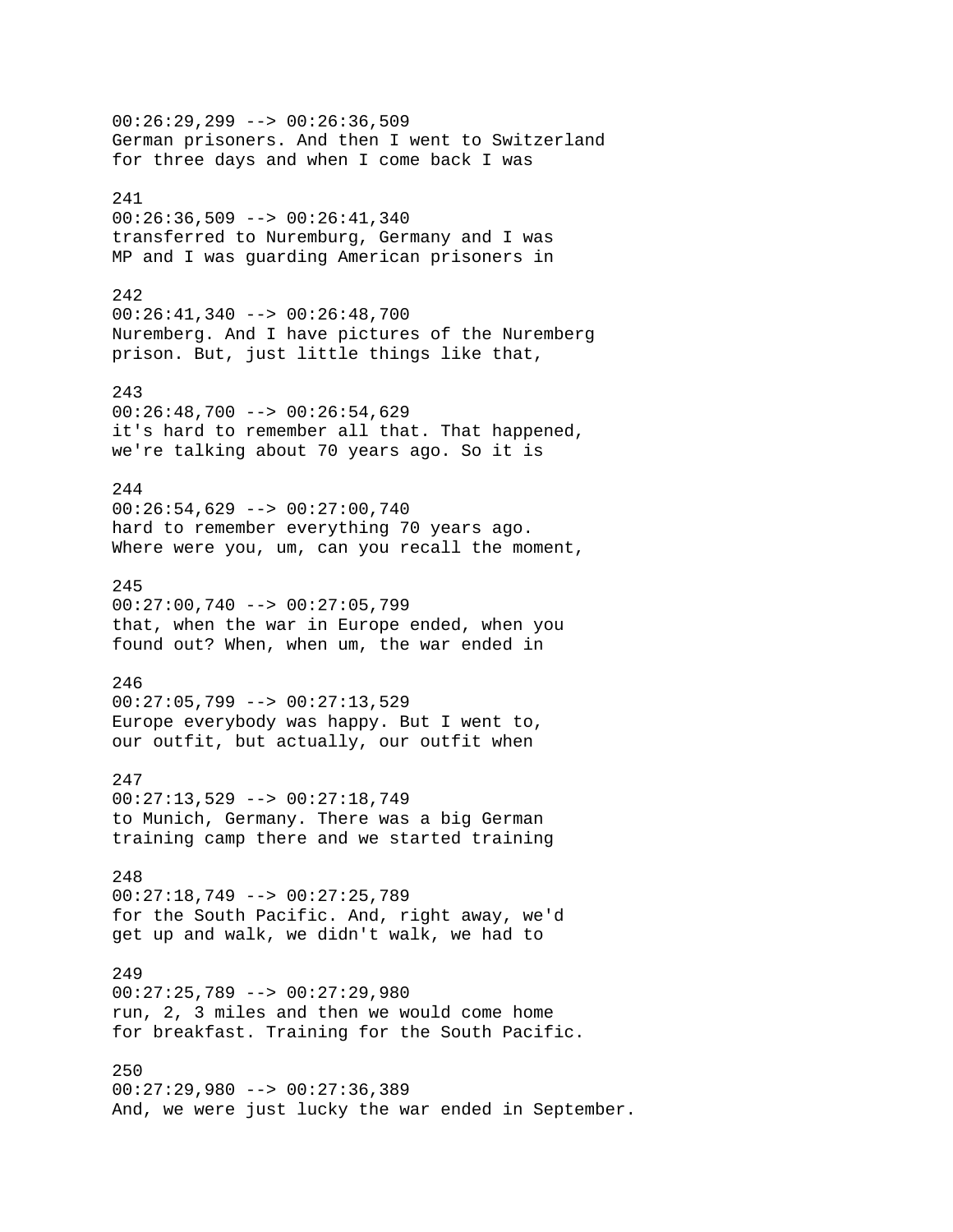00:26:29,299 --> 00:26:36,509 German prisoners. And then I went to Switzerland for three days and when I come back I was 241 00:26:36,509 --> 00:26:41,340 transferred to Nuremburg, Germany and I was MP and I was guarding American prisoners in 242  $00:26:41,340$  -->  $00:26:48,700$ Nuremberg. And I have pictures of the Nuremberg prison. But, just little things like that, 243  $00:26:48,700$  -->  $00:26:54,629$ it's hard to remember all that. That happened, we're talking about 70 years ago. So it is 244 00:26:54,629 --> 00:27:00,740 hard to remember everything 70 years ago. Where were you, um, can you recall the moment, 245 00:27:00,740 --> 00:27:05,799 that, when the war in Europe ended, when you found out? When, when um, the war ended in 246  $00:27:05,799$  -->  $00:27:13,529$ Europe everybody was happy. But I went to, our outfit, but actually, our outfit when 247 00:27:13,529 --> 00:27:18,749 to Munich, Germany. There was a big German training camp there and we started training 248 00:27:18,749 --> 00:27:25,789 for the South Pacific. And, right away, we'd get up and walk, we didn't walk, we had to 249 00:27:25,789 --> 00:27:29,980 run, 2, 3 miles and then we would come home for breakfast. Training for the South Pacific. 250 00:27:29,980 --> 00:27:36,389 And, we were just lucky the war ended in September.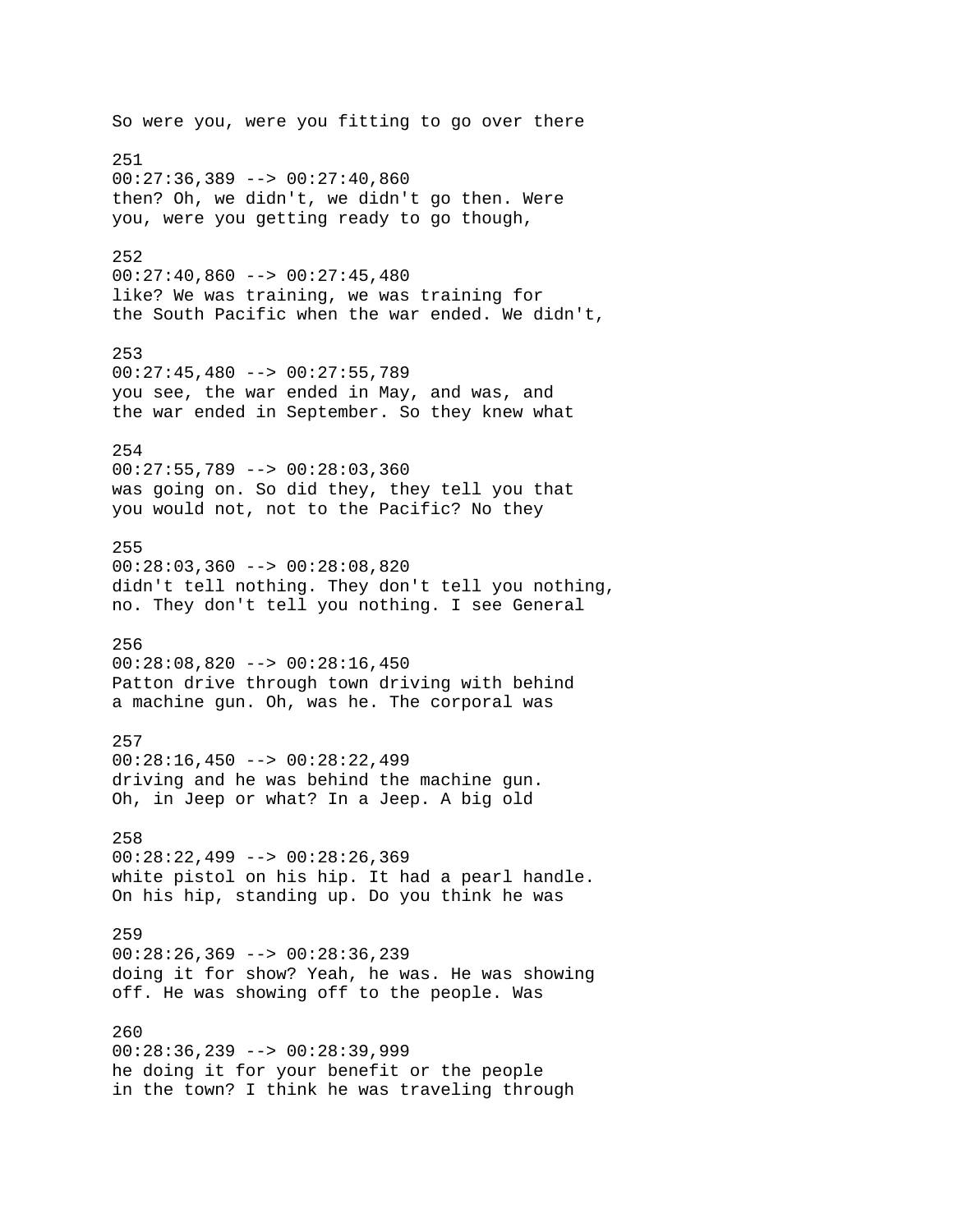So were you, were you fitting to go over there 251  $00:27:36,389$  -->  $00:27:40,860$ then? Oh, we didn't, we didn't go then. Were you, were you getting ready to go though, 252  $00:27:40,860$  -->  $00:27:45,480$ like? We was training, we was training for the South Pacific when the war ended. We didn't, 253  $00:27:45,480$  -->  $00:27:55,789$ you see, the war ended in May, and was, and the war ended in September. So they knew what 254 00:27:55,789 --> 00:28:03,360 was going on. So did they, they tell you that you would not, not to the Pacific? No they 255 00:28:03,360 --> 00:28:08,820 didn't tell nothing. They don't tell you nothing, no. They don't tell you nothing. I see General 256 00:28:08,820 --> 00:28:16,450 Patton drive through town driving with behind a machine gun. Oh, was he. The corporal was 257 00:28:16,450 --> 00:28:22,499 driving and he was behind the machine gun. Oh, in Jeep or what? In a Jeep. A big old 258  $00:28:22,499$  -->  $00:28:26,369$ white pistol on his hip. It had a pearl handle. On his hip, standing up. Do you think he was 259  $00:28:26,369$  -->  $00:28:36,239$ doing it for show? Yeah, he was. He was showing off. He was showing off to the people. Was 260 00:28:36,239 --> 00:28:39,999 he doing it for your benefit or the people in the town? I think he was traveling through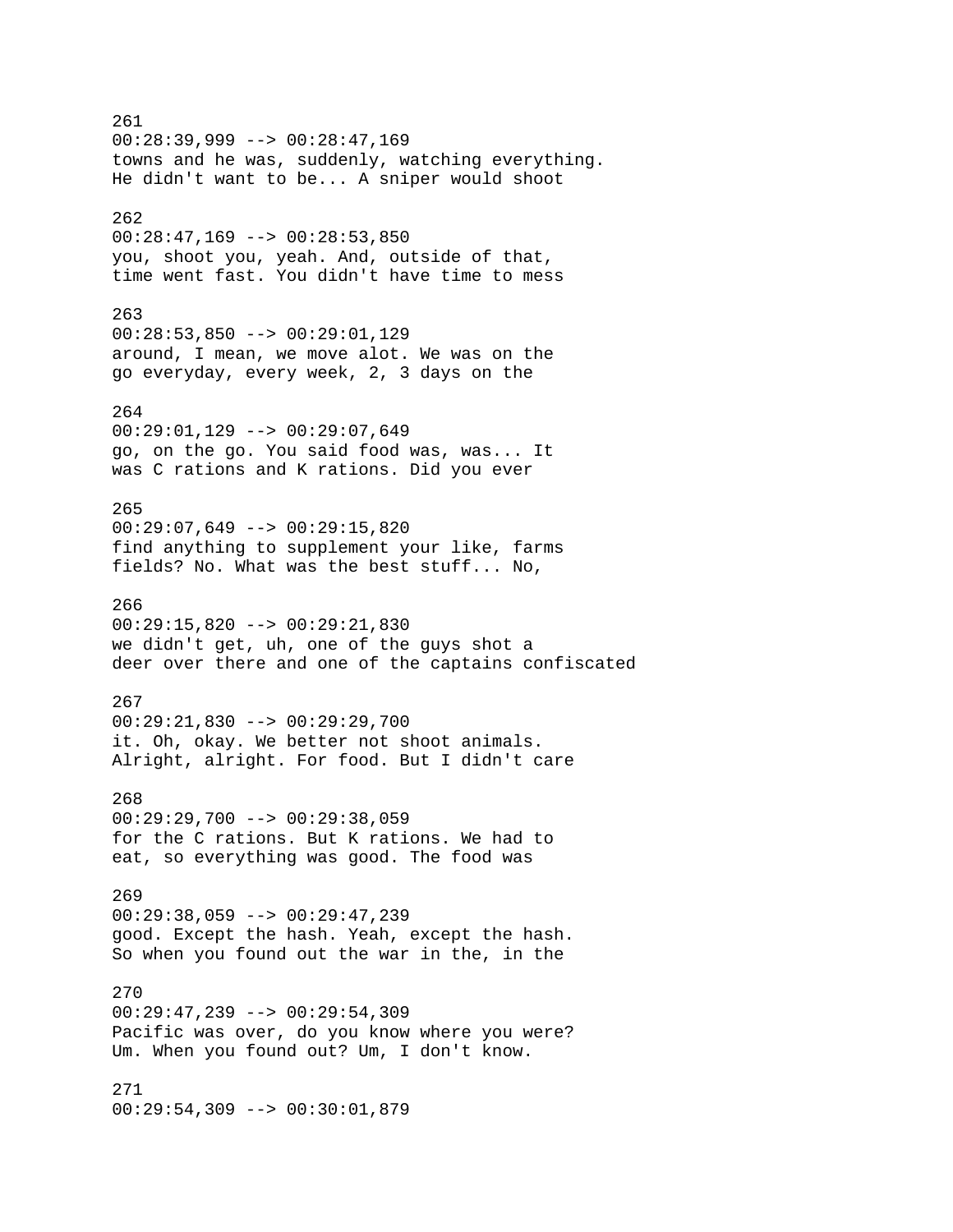261 00:28:39,999 --> 00:28:47,169 towns and he was, suddenly, watching everything. He didn't want to be... A sniper would shoot 262  $00:28:47,169$  -->  $00:28:53,850$ you, shoot you, yeah. And, outside of that, time went fast. You didn't have time to mess 263 00:28:53,850 --> 00:29:01,129 around, I mean, we move alot. We was on the go everyday, every week, 2, 3 days on the 264 00:29:01,129 --> 00:29:07,649 go, on the go. You said food was, was... It was C rations and K rations. Did you ever 265  $00:29:07,649$  -->  $00:29:15,820$ find anything to supplement your like, farms fields? No. What was the best stuff... No, 266 00:29:15,820 --> 00:29:21,830 we didn't get, uh, one of the guys shot a deer over there and one of the captains confiscated 267 00:29:21,830 --> 00:29:29,700 it. Oh, okay. We better not shoot animals. Alright, alright. For food. But I didn't care 268  $00:29:29,700$  -->  $00:29:38,059$ for the C rations. But K rations. We had to eat, so everything was good. The food was 269 00:29:38,059 --> 00:29:47,239 good. Except the hash. Yeah, except the hash. So when you found out the war in the, in the 270 00:29:47,239 --> 00:29:54,309 Pacific was over, do you know where you were? Um. When you found out? Um, I don't know. 271 00:29:54,309 --> 00:30:01,879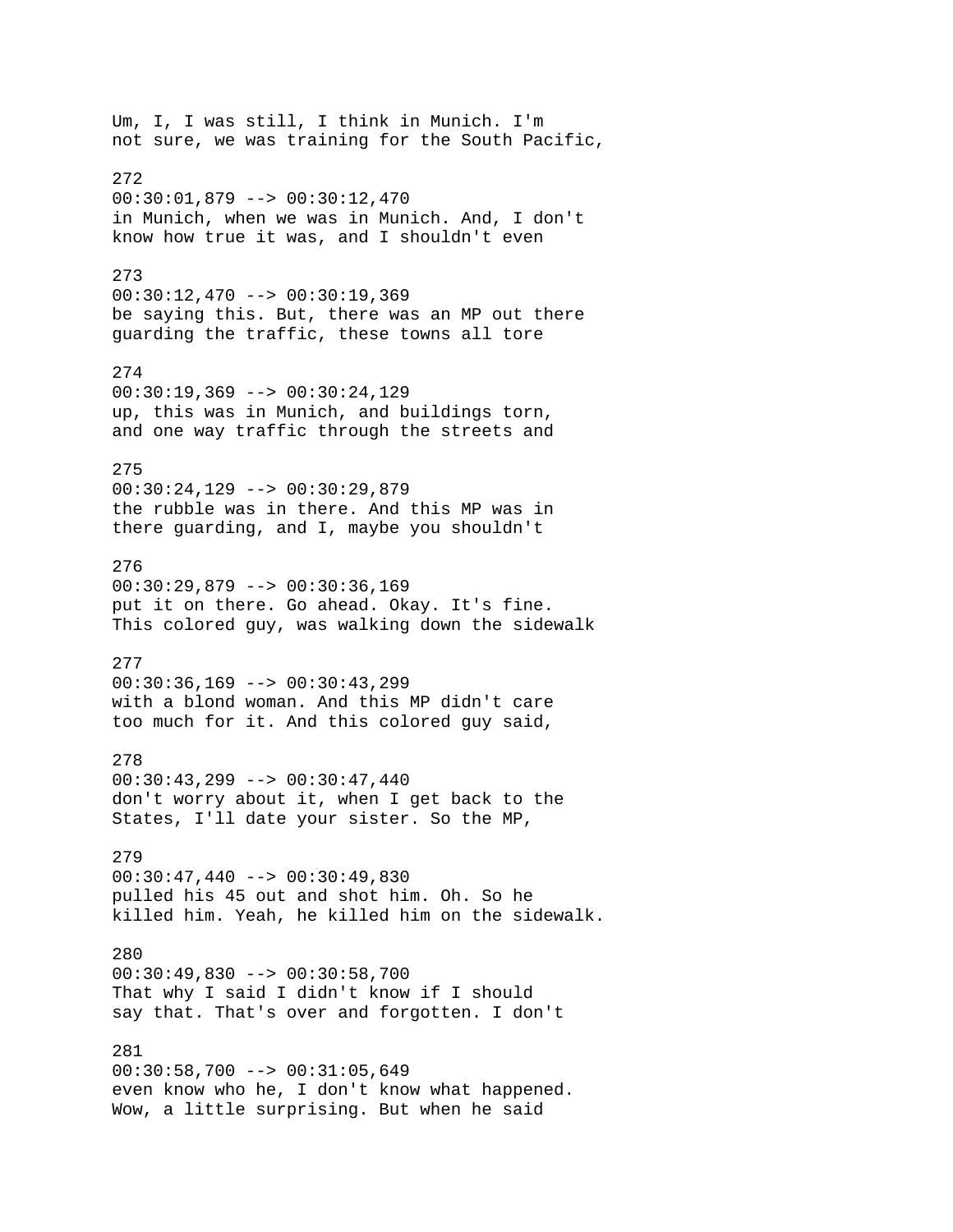Um, I, I was still, I think in Munich. I'm not sure, we was training for the South Pacific, 272 00:30:01,879 --> 00:30:12,470 in Munich, when we was in Munich. And, I don't know how true it was, and I shouldn't even 273 00:30:12,470 --> 00:30:19,369 be saying this. But, there was an MP out there guarding the traffic, these towns all tore 274 00:30:19,369 --> 00:30:24,129 up, this was in Munich, and buildings torn, and one way traffic through the streets and 275 00:30:24,129 --> 00:30:29,879 the rubble was in there. And this MP was in there guarding, and I, maybe you shouldn't 276 00:30:29,879 --> 00:30:36,169 put it on there. Go ahead. Okay. It's fine. This colored guy, was walking down the sidewalk 277 00:30:36,169 --> 00:30:43,299 with a blond woman. And this MP didn't care too much for it. And this colored guy said, 278  $00:30:43,299$  -->  $00:30:47,440$ don't worry about it, when I get back to the States, I'll date your sister. So the MP, 279  $00:30:47,440$  -->  $00:30:49,830$ pulled his 45 out and shot him. Oh. So he killed him. Yeah, he killed him on the sidewalk. 280 00:30:49,830 --> 00:30:58,700 That why I said I didn't know if I should say that. That's over and forgotten. I don't 281  $00:30:58,700$  -->  $00:31:05,649$ even know who he, I don't know what happened. Wow, a little surprising. But when he said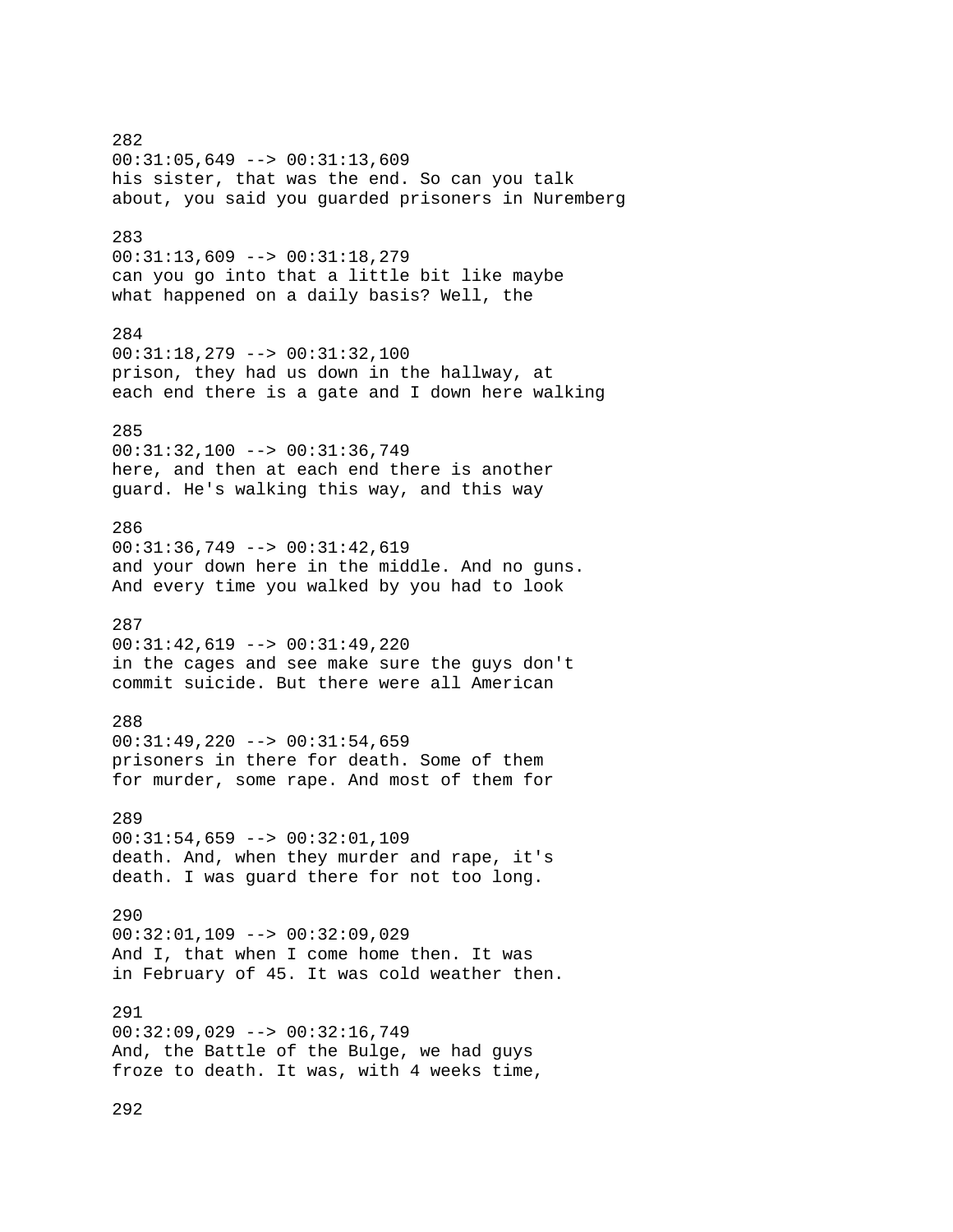282 00:31:05,649 --> 00:31:13,609 his sister, that was the end. So can you talk about, you said you guarded prisoners in Nuremberg 283 00:31:13,609 --> 00:31:18,279 can you go into that a little bit like maybe what happened on a daily basis? Well, the 284 00:31:18,279 --> 00:31:32,100 prison, they had us down in the hallway, at each end there is a gate and I down here walking 285 00:31:32,100 --> 00:31:36,749 here, and then at each end there is another guard. He's walking this way, and this way 286 00:31:36,749 --> 00:31:42,619 and your down here in the middle. And no guns. And every time you walked by you had to look 287 00:31:42,619 --> 00:31:49,220 in the cages and see make sure the guys don't commit suicide. But there were all American 288  $00:31:49,220$  -->  $00:31:54,659$ prisoners in there for death. Some of them for murder, some rape. And most of them for 289 00:31:54,659 --> 00:32:01,109 death. And, when they murder and rape, it's death. I was guard there for not too long. 290 00:32:01,109 --> 00:32:09,029 And I, that when I come home then. It was in February of 45. It was cold weather then. 291 00:32:09,029 --> 00:32:16,749 And, the Battle of the Bulge, we had guys froze to death. It was, with 4 weeks time, 292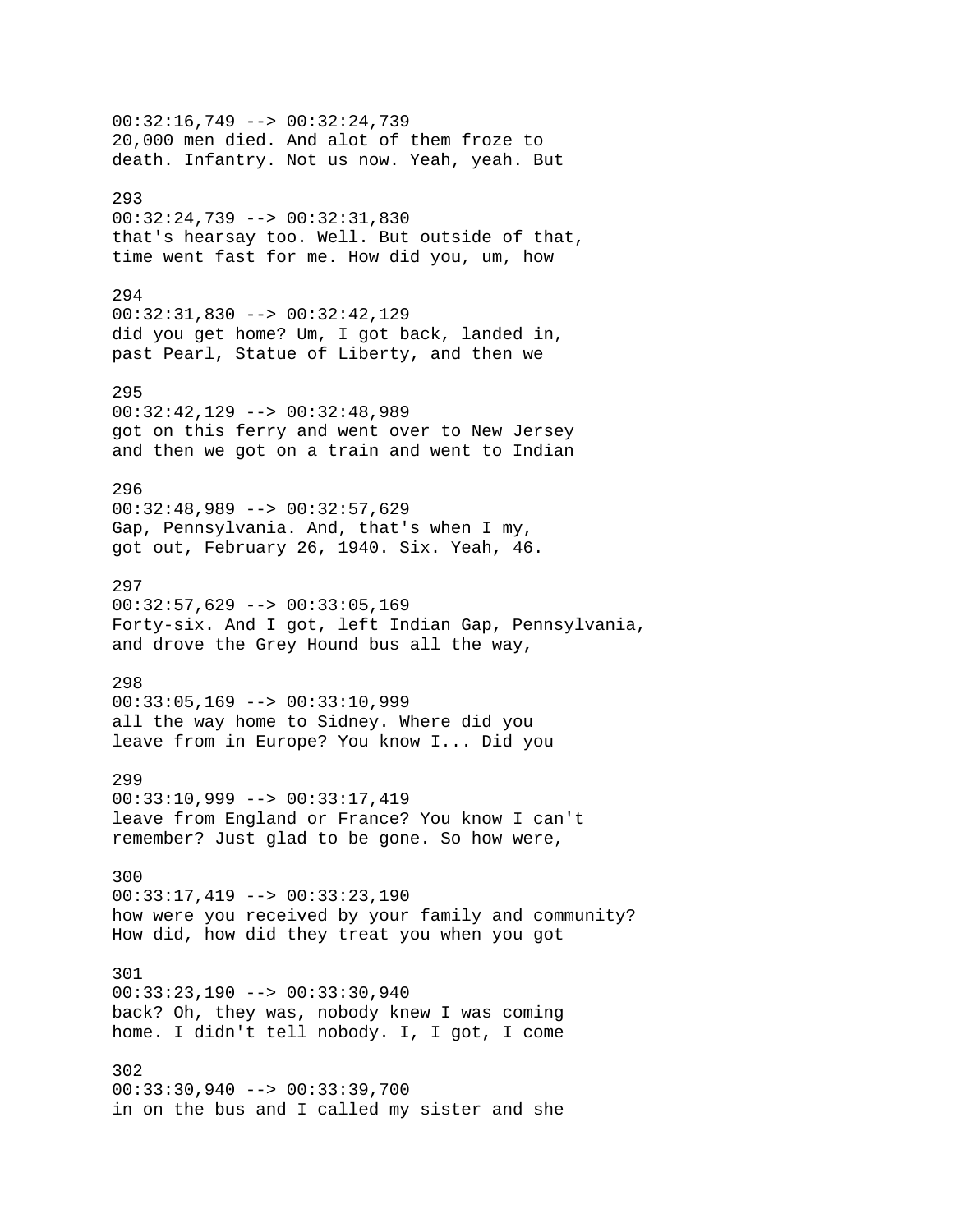00:32:16,749 --> 00:32:24,739 20,000 men died. And alot of them froze to death. Infantry. Not us now. Yeah, yeah. But 293 00:32:24,739 --> 00:32:31,830 that's hearsay too. Well. But outside of that, time went fast for me. How did you, um, how 294 00:32:31,830 --> 00:32:42,129 did you get home? Um, I got back, landed in, past Pearl, Statue of Liberty, and then we 295 00:32:42,129 --> 00:32:48,989 got on this ferry and went over to New Jersey and then we got on a train and went to Indian 296 00:32:48,989 --> 00:32:57,629 Gap, Pennsylvania. And, that's when I my, got out, February 26, 1940. Six. Yeah, 46. 297 00:32:57,629 --> 00:33:05,169 Forty-six. And I got, left Indian Gap, Pennsylvania, and drove the Grey Hound bus all the way, 298  $00:33:05,169$  -->  $00:33:10,999$ all the way home to Sidney. Where did you leave from in Europe? You know I... Did you 299 00:33:10,999 --> 00:33:17,419 leave from England or France? You know I can't remember? Just glad to be gone. So how were, 300 00:33:17,419 --> 00:33:23,190 how were you received by your family and community? How did, how did they treat you when you got 301 00:33:23,190 --> 00:33:30,940 back? Oh, they was, nobody knew I was coming home. I didn't tell nobody. I, I got, I come 302 00:33:30,940 --> 00:33:39,700 in on the bus and I called my sister and she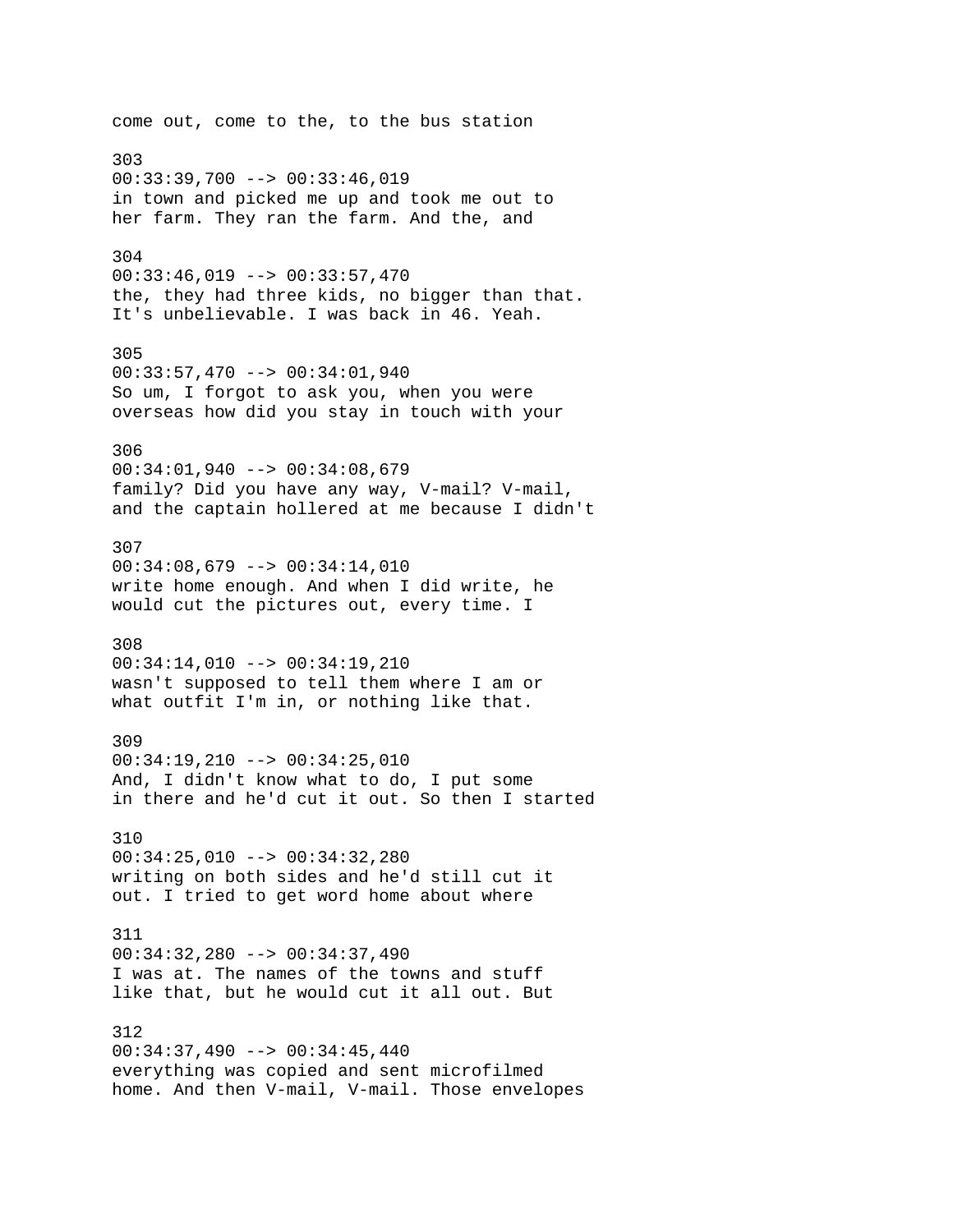come out, come to the, to the bus station 303  $00:33:39,700$  -->  $00:33:46,019$ in town and picked me up and took me out to her farm. They ran the farm. And the, and 304 00:33:46,019 --> 00:33:57,470 the, they had three kids, no bigger than that. It's unbelievable. I was back in 46. Yeah. 305 00:33:57,470 --> 00:34:01,940 So um, I forgot to ask you, when you were overseas how did you stay in touch with your 306 00:34:01,940 --> 00:34:08,679 family? Did you have any way, V-mail? V-mail, and the captain hollered at me because I didn't 307  $00:34:08,679$  -->  $00:34:14,010$ write home enough. And when I did write, he would cut the pictures out, every time. I 308 00:34:14,010 --> 00:34:19,210 wasn't supposed to tell them where I am or what outfit I'm in, or nothing like that. 309 00:34:19,210 --> 00:34:25,010 And, I didn't know what to do, I put some in there and he'd cut it out. So then I started 310 00:34:25,010 --> 00:34:32,280 writing on both sides and he'd still cut it out. I tried to get word home about where 311 00:34:32,280 --> 00:34:37,490 I was at. The names of the towns and stuff like that, but he would cut it all out. But 312 00:34:37,490 --> 00:34:45,440 everything was copied and sent microfilmed home. And then V-mail, V-mail. Those envelopes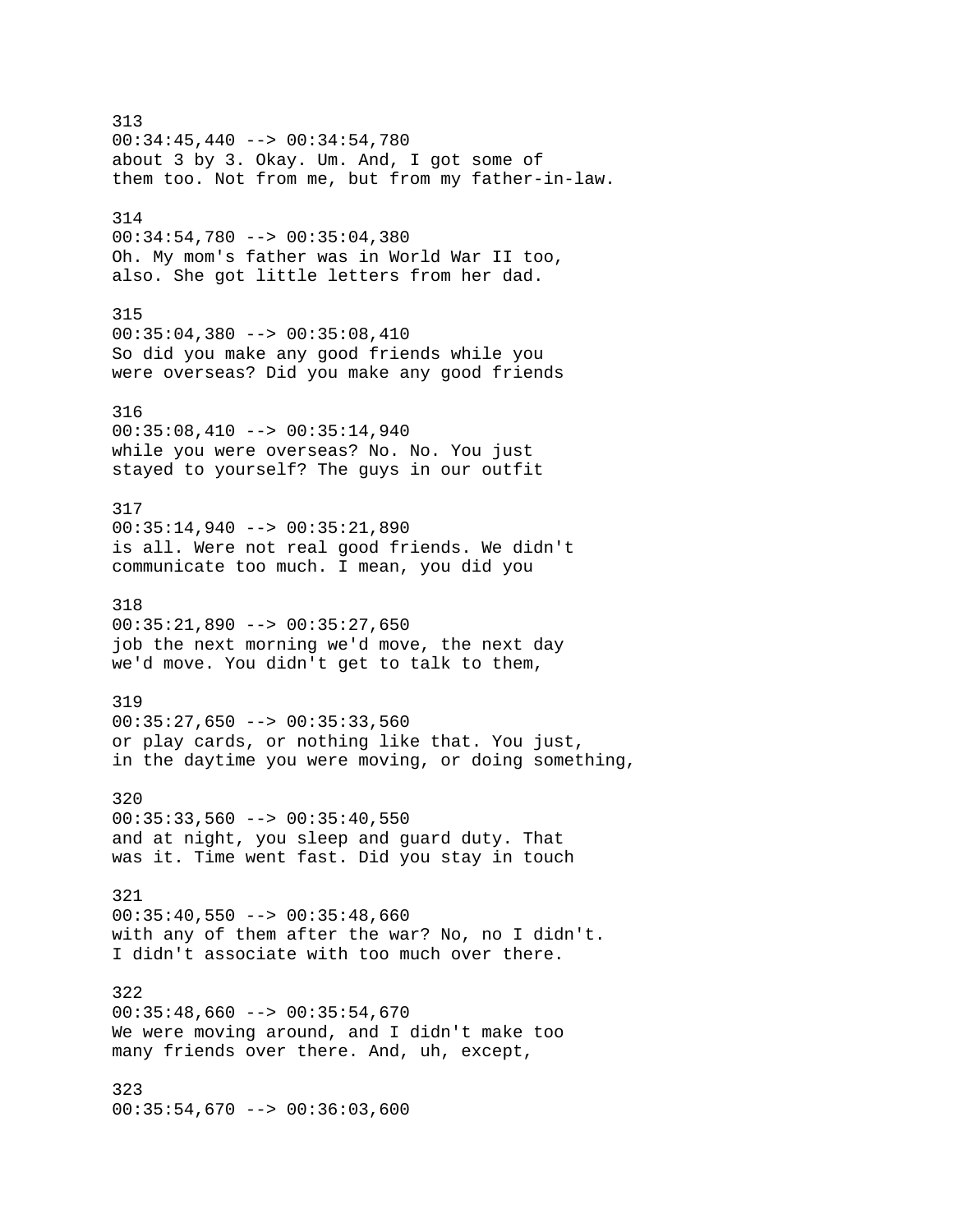313 00:34:45,440 --> 00:34:54,780 about 3 by 3. Okay. Um. And, I got some of them too. Not from me, but from my father-in-law. 314 00:34:54,780 --> 00:35:04,380 Oh. My mom's father was in World War II too, also. She got little letters from her dad. 315 00:35:04,380 --> 00:35:08,410 So did you make any good friends while you were overseas? Did you make any good friends 316  $00:35:08,410$  -->  $00:35:14,940$ while you were overseas? No. No. You just stayed to yourself? The guys in our outfit 317  $00:35:14,940$  -->  $00:35:21,890$ is all. Were not real good friends. We didn't communicate too much. I mean, you did you 318  $00:35:21,890$  -->  $00:35:27,650$ job the next morning we'd move, the next day we'd move. You didn't get to talk to them, 319  $00:35:27,650$  -->  $00:35:33,560$ or play cards, or nothing like that. You just, in the daytime you were moving, or doing something, 320  $00:35:33,560$  -->  $00:35:40,550$ and at night, you sleep and guard duty. That was it. Time went fast. Did you stay in touch 321  $00:35:40,550$  -->  $00:35:48,660$ with any of them after the war? No, no I didn't. I didn't associate with too much over there. 322  $00:35:48,660$  -->  $00:35:54,670$ We were moving around, and I didn't make too many friends over there. And, uh, except, 323  $00:35:54,670$  -->  $00:36:03,600$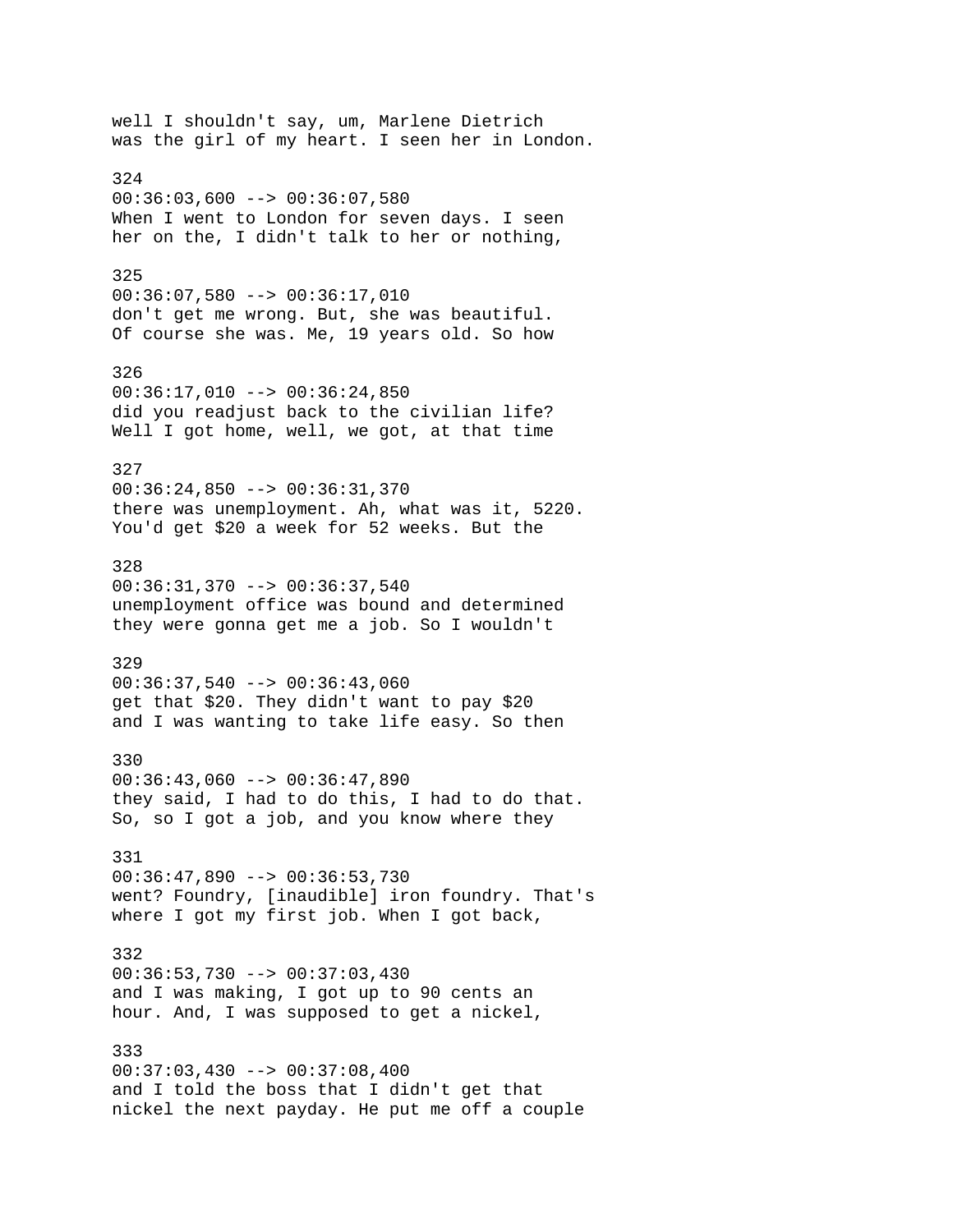well I shouldn't say, um, Marlene Dietrich was the girl of my heart. I seen her in London. 324  $00:36:03,600$  -->  $00:36:07,580$ When I went to London for seven days. I seen her on the, I didn't talk to her or nothing, 325 00:36:07,580 --> 00:36:17,010 don't get me wrong. But, she was beautiful. Of course she was. Me, 19 years old. So how 326 00:36:17,010 --> 00:36:24,850 did you readjust back to the civilian life? Well I got home, well, we got, at that time 327 00:36:24,850 --> 00:36:31,370 there was unemployment. Ah, what was it, 5220. You'd get \$20 a week for 52 weeks. But the 328 00:36:31,370 --> 00:36:37,540 unemployment office was bound and determined they were gonna get me a job. So I wouldn't 329  $00:36:37,540$  -->  $00:36:43,060$ get that \$20. They didn't want to pay \$20 and I was wanting to take life easy. So then 330  $00:36:43,060$  -->  $00:36:47,890$ they said, I had to do this, I had to do that. So, so I got a job, and you know where they 331 00:36:47,890 --> 00:36:53,730 went? Foundry, [inaudible] iron foundry. That's where I got my first job. When I got back, 332 00:36:53,730 --> 00:37:03,430 and I was making, I got up to 90 cents an hour. And, I was supposed to get a nickel, 333  $00:37:03,430$  -->  $00:37:08,400$ and I told the boss that I didn't get that nickel the next payday. He put me off a couple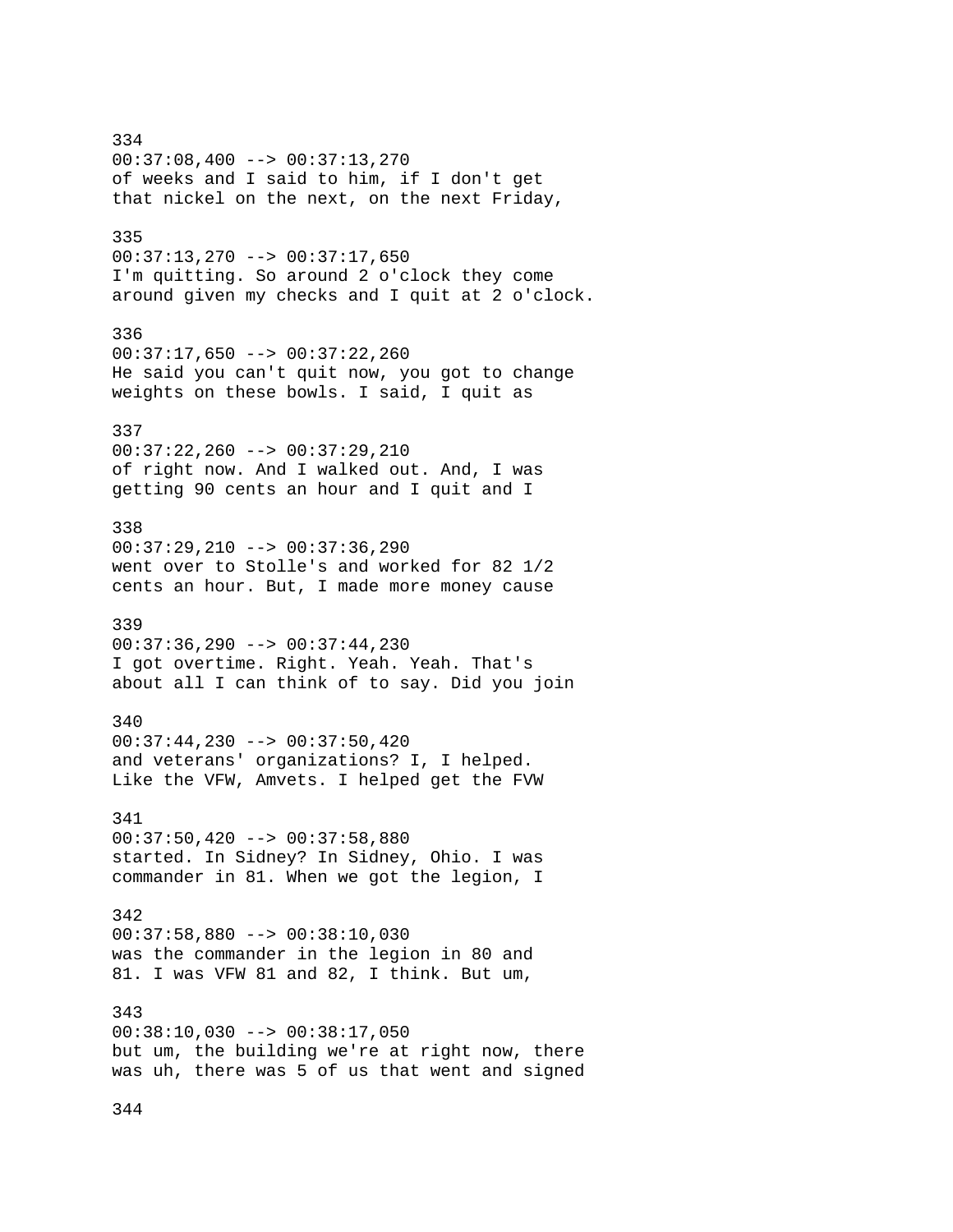334 00:37:08,400 --> 00:37:13,270 of weeks and I said to him, if I don't get that nickel on the next, on the next Friday, 335 00:37:13,270 --> 00:37:17,650 I'm quitting. So around 2 o'clock they come around given my checks and I quit at 2 o'clock. 336  $00:37:17,650$  -->  $00:37:22,260$ He said you can't quit now, you got to change weights on these bowls. I said, I quit as 337 00:37:22,260 --> 00:37:29,210 of right now. And I walked out. And, I was getting 90 cents an hour and I quit and I 338 00:37:29,210 --> 00:37:36,290 went over to Stolle's and worked for 82 1/2 cents an hour. But, I made more money cause 339 00:37:36,290 --> 00:37:44,230 I got overtime. Right. Yeah. Yeah. That's about all I can think of to say. Did you join 340 00:37:44,230 --> 00:37:50,420 and veterans' organizations? I, I helped. Like the VFW, Amvets. I helped get the FVW 341  $00:37:50,420$  -->  $00:37:58,880$ started. In Sidney? In Sidney, Ohio. I was commander in 81. When we got the legion, I 342 00:37:58,880 --> 00:38:10,030 was the commander in the legion in 80 and 81. I was VFW 81 and 82, I think. But um, 343 00:38:10,030 --> 00:38:17,050 but um, the building we're at right now, there was uh, there was 5 of us that went and signed

344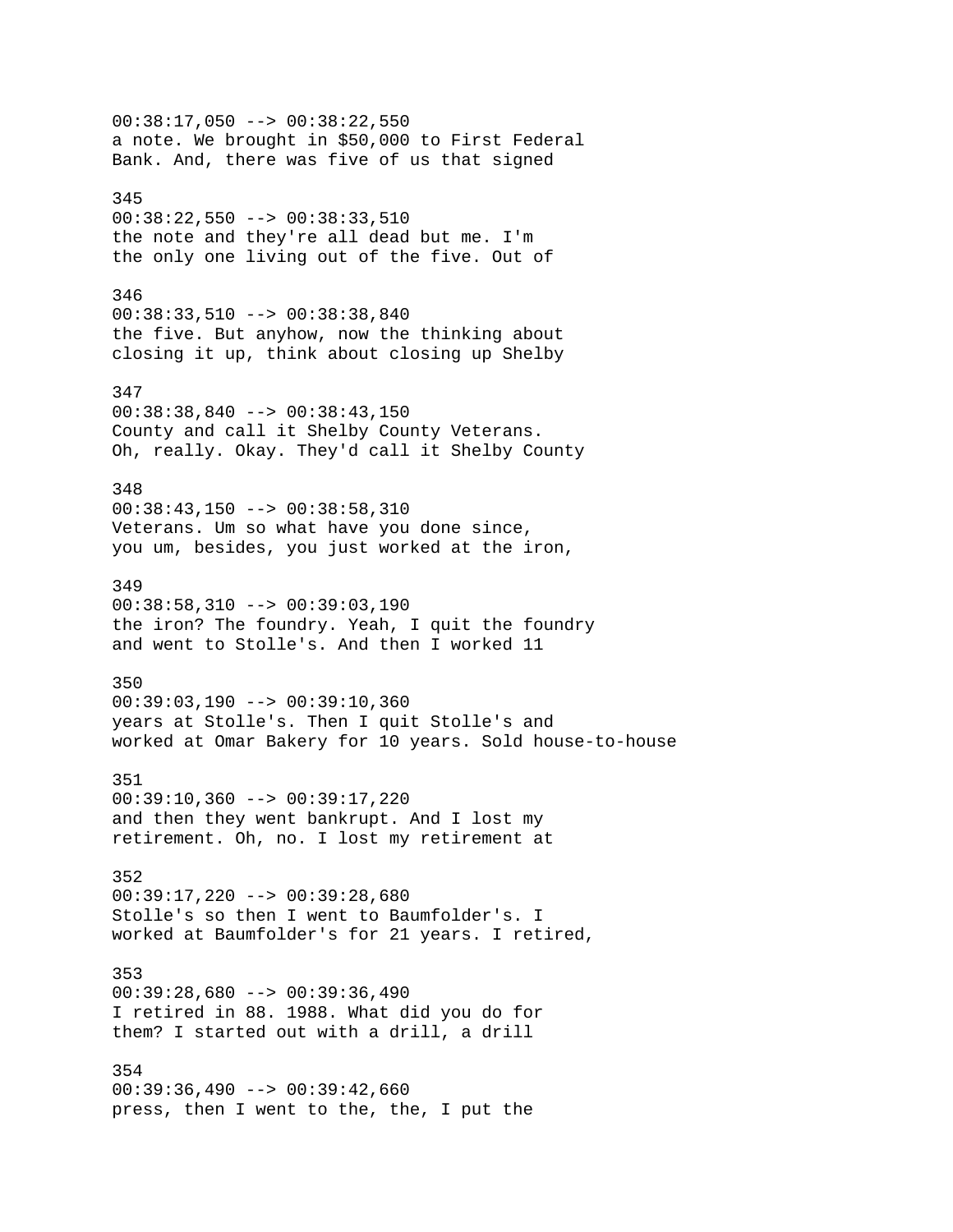$00:38:17,050$  -->  $00:38:22,550$ a note. We brought in \$50,000 to First Federal Bank. And, there was five of us that signed 345 00:38:22,550 --> 00:38:33,510 the note and they're all dead but me. I'm the only one living out of the five. Out of 346 00:38:33,510 --> 00:38:38,840 the five. But anyhow, now the thinking about closing it up, think about closing up Shelby 347 00:38:38,840 --> 00:38:43,150 County and call it Shelby County Veterans. Oh, really. Okay. They'd call it Shelby County 348 00:38:43,150 --> 00:38:58,310 Veterans. Um so what have you done since, you um, besides, you just worked at the iron, 349 00:38:58,310 --> 00:39:03,190 the iron? The foundry. Yeah, I quit the foundry and went to Stolle's. And then I worked 11 350 00:39:03,190 --> 00:39:10,360 years at Stolle's. Then I quit Stolle's and worked at Omar Bakery for 10 years. Sold house-to-house 351 00:39:10,360 --> 00:39:17,220 and then they went bankrupt. And I lost my retirement. Oh, no. I lost my retirement at 352 00:39:17,220 --> 00:39:28,680 Stolle's so then I went to Baumfolder's. I worked at Baumfolder's for 21 years. I retired, 353 00:39:28,680 --> 00:39:36,490 I retired in 88. 1988. What did you do for them? I started out with a drill, a drill 354  $00:39:36,490$  -->  $00:39:42,660$ press, then I went to the, the, I put the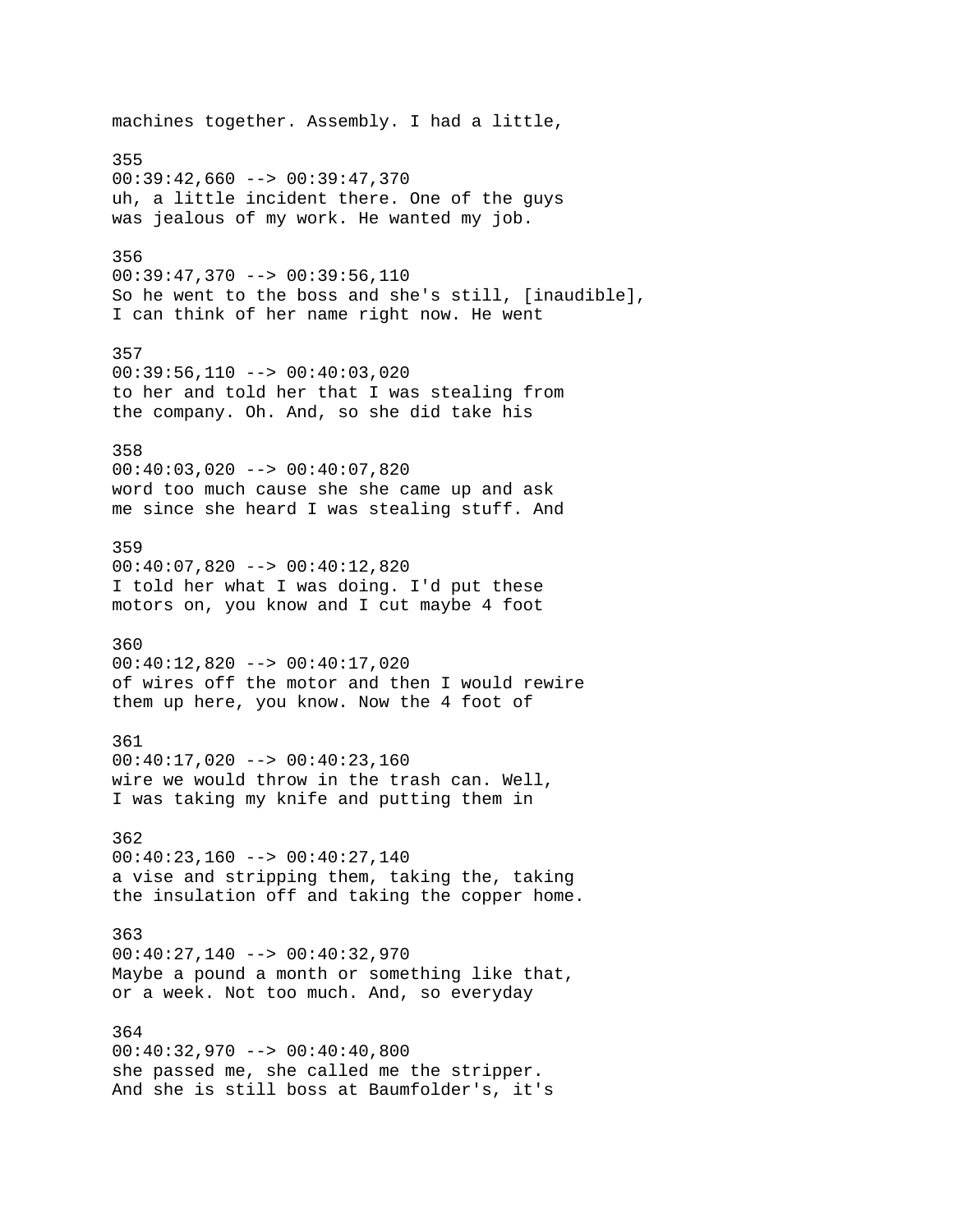machines together. Assembly. I had a little, 355  $00:39:42,660$  -->  $00:39:47,370$ uh, a little incident there. One of the guys was jealous of my work. He wanted my job. 356  $00:39:47,370$  -->  $00:39:56,110$ So he went to the boss and she's still, [inaudible], I can think of her name right now. He went 357  $00:39:56,110$  -->  $00:40:03,020$ to her and told her that I was stealing from the company. Oh. And, so she did take his 358 00:40:03,020 --> 00:40:07,820 word too much cause she she came up and ask me since she heard I was stealing stuff. And 359 00:40:07,820 --> 00:40:12,820 I told her what I was doing. I'd put these motors on, you know and I cut maybe 4 foot 360 00:40:12,820 --> 00:40:17,020 of wires off the motor and then I would rewire them up here, you know. Now the 4 foot of 361 00:40:17,020 --> 00:40:23,160 wire we would throw in the trash can. Well, I was taking my knife and putting them in 362  $00:40:23,160$  -->  $00:40:27,140$ a vise and stripping them, taking the, taking the insulation off and taking the copper home. 363 00:40:27,140 --> 00:40:32,970 Maybe a pound a month or something like that, or a week. Not too much. And, so everyday 364 00:40:32,970 --> 00:40:40,800 she passed me, she called me the stripper. And she is still boss at Baumfolder's, it's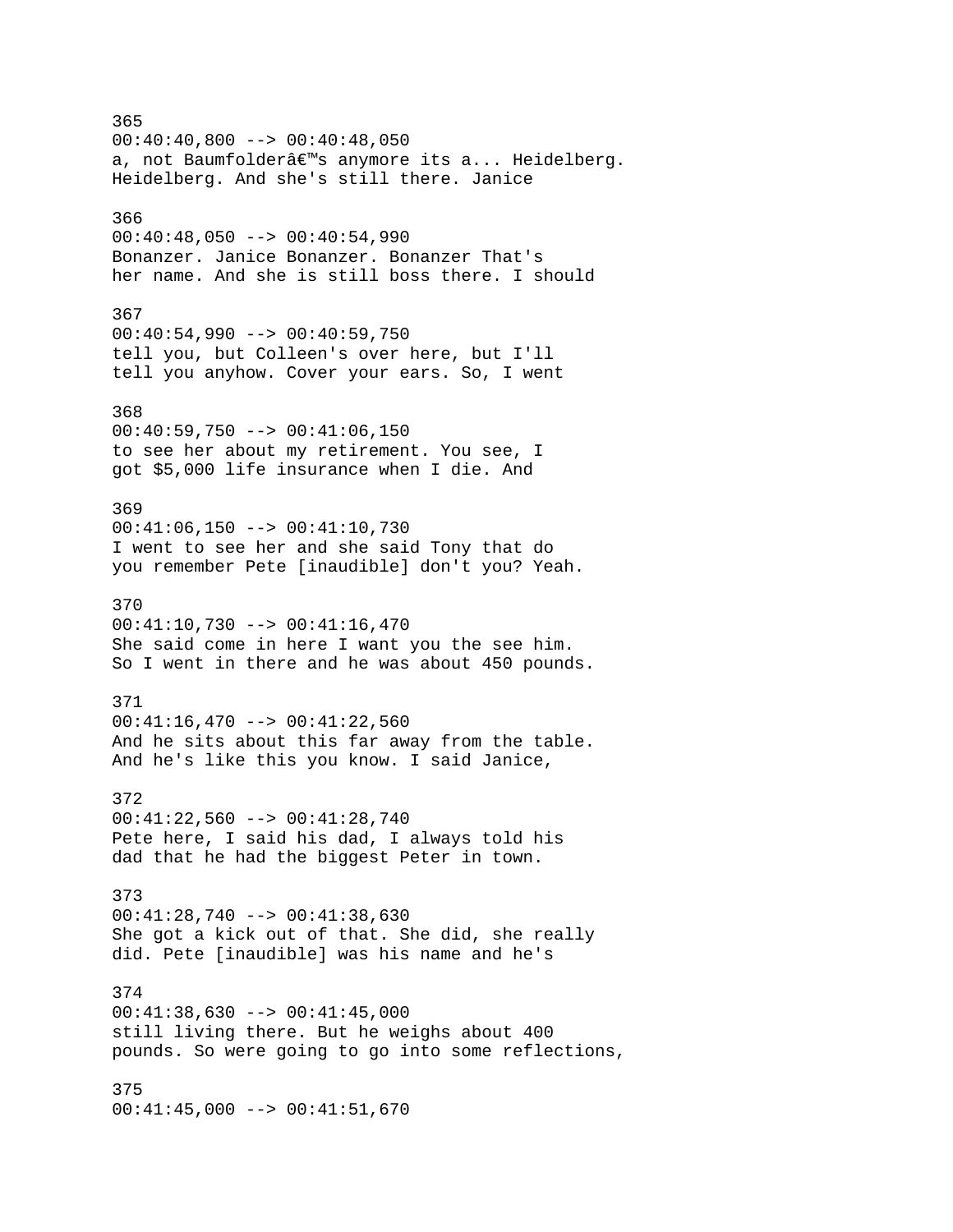365  $00:40:40,800$  -->  $00:40:48,050$ a, not Baumfolderâ€<sup>™</sup>s anymore its a... Heidelberg. Heidelberg. And she's still there. Janice 366  $00:40:48,050$  -->  $00:40:54,990$ Bonanzer. Janice Bonanzer. Bonanzer That's her name. And she is still boss there. I should 367  $00:40:54,990$  -->  $00:40:59,750$ tell you, but Colleen's over here, but I'll tell you anyhow. Cover your ears. So, I went 368  $00:40:59,750$  -->  $00:41:06,150$ to see her about my retirement. You see, I got \$5,000 life insurance when I die. And 369  $00:41:06,150$  -->  $00:41:10,730$ I went to see her and she said Tony that do you remember Pete [inaudible] don't you? Yeah. 370 00:41:10,730 --> 00:41:16,470 She said come in here I want you the see him. So I went in there and he was about 450 pounds. 371  $00:41:16,470$  -->  $00:41:22,560$ And he sits about this far away from the table. And he's like this you know. I said Janice, 372 00:41:22,560 --> 00:41:28,740 Pete here, I said his dad, I always told his dad that he had the biggest Peter in town. 373 00:41:28,740 --> 00:41:38,630 She got a kick out of that. She did, she really did. Pete [inaudible] was his name and he's 374 00:41:38,630 --> 00:41:45,000 still living there. But he weighs about 400 pounds. So were going to go into some reflections, 375 00:41:45,000 --> 00:41:51,670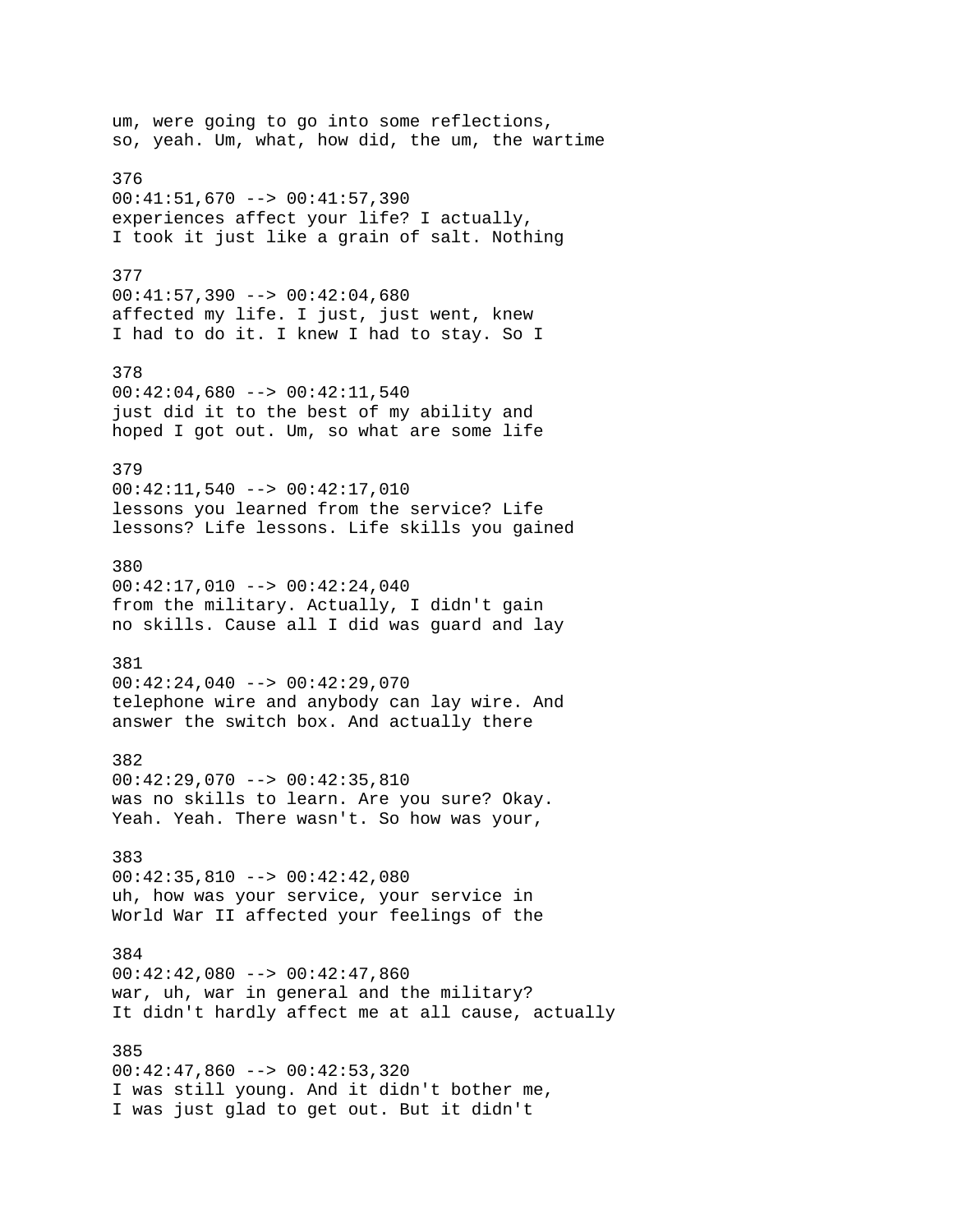um, were going to go into some reflections, so, yeah. Um, what, how did, the um, the wartime 376 00:41:51,670 --> 00:41:57,390 experiences affect your life? I actually, I took it just like a grain of salt. Nothing 377 00:41:57,390 --> 00:42:04,680 affected my life. I just, just went, knew I had to do it. I knew I had to stay. So I 378 00:42:04,680 --> 00:42:11,540 just did it to the best of my ability and hoped I got out. Um, so what are some life 379 00:42:11,540 --> 00:42:17,010 lessons you learned from the service? Life lessons? Life lessons. Life skills you gained 380  $00:42:17,010$  -->  $00:42:24,040$ from the military. Actually, I didn't gain no skills. Cause all I did was guard and lay 381 00:42:24,040 --> 00:42:29,070 telephone wire and anybody can lay wire. And answer the switch box. And actually there 382 00:42:29,070 --> 00:42:35,810 was no skills to learn. Are you sure? Okay. Yeah. Yeah. There wasn't. So how was your, 383 00:42:35,810 --> 00:42:42,080 uh, how was your service, your service in World War II affected your feelings of the 384  $00:42:42,080$  -->  $00:42:47,860$ war, uh, war in general and the military? It didn't hardly affect me at all cause, actually 385 00:42:47,860 --> 00:42:53,320 I was still young. And it didn't bother me, I was just glad to get out. But it didn't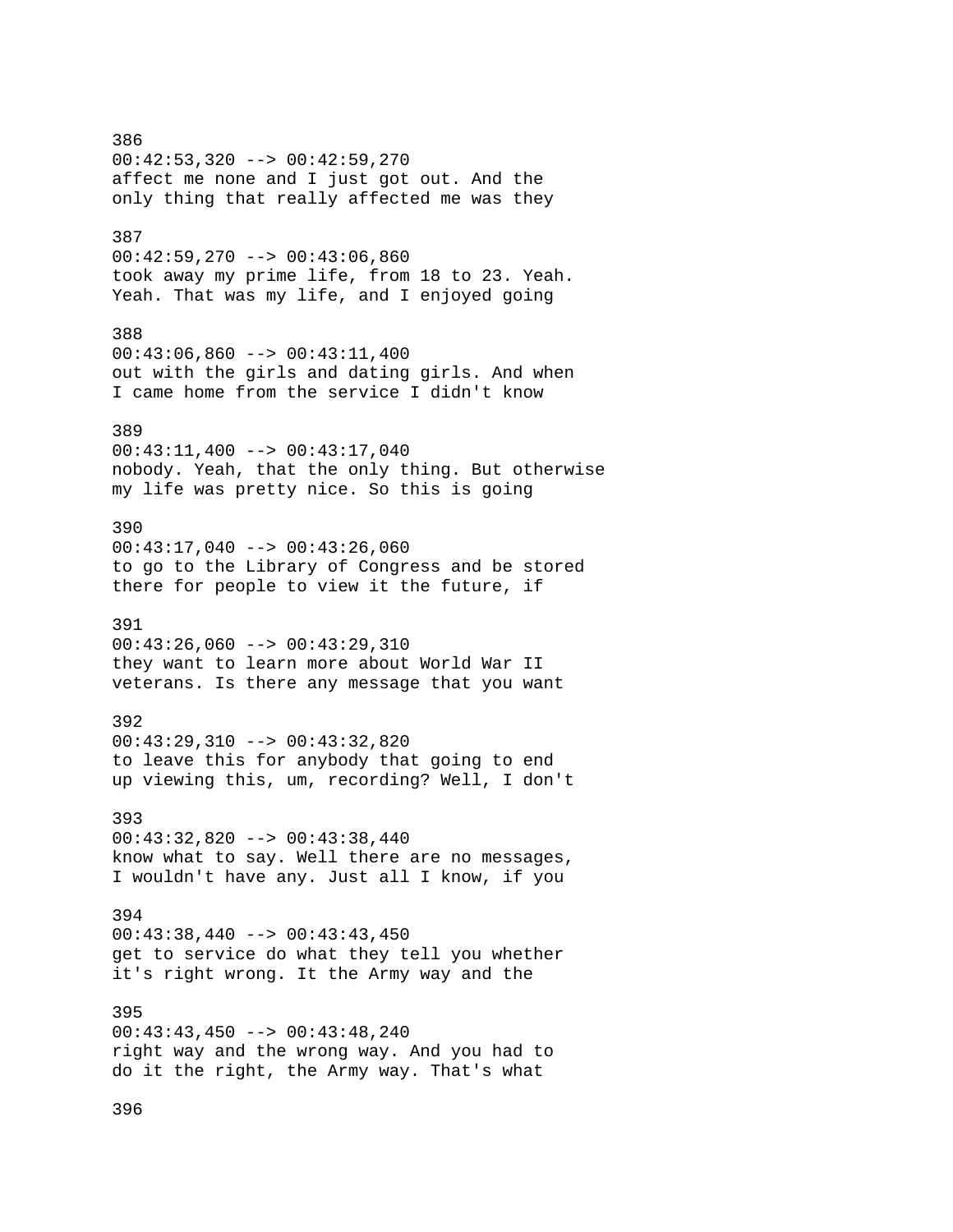386 00:42:53,320 --> 00:42:59,270 affect me none and I just got out. And the only thing that really affected me was they 387  $00:42:59,270$  -->  $00:43:06,860$ took away my prime life, from 18 to 23. Yeah. Yeah. That was my life, and I enjoyed going 388  $00:43:06,860$  -->  $00:43:11,400$ out with the girls and dating girls. And when I came home from the service I didn't know 389 00:43:11,400 --> 00:43:17,040 nobody. Yeah, that the only thing. But otherwise my life was pretty nice. So this is going 390 00:43:17,040 --> 00:43:26,060 to go to the Library of Congress and be stored there for people to view it the future, if 391  $00:43:26,060$  -->  $00:43:29,310$ they want to learn more about World War II veterans. Is there any message that you want 392 00:43:29,310 --> 00:43:32,820 to leave this for anybody that going to end up viewing this, um, recording? Well, I don't 393 00:43:32,820 --> 00:43:38,440 know what to say. Well there are no messages, I wouldn't have any. Just all I know, if you 394  $00:43:38,440$  -->  $00:43:43,450$ get to service do what they tell you whether it's right wrong. It the Army way and the 395 00:43:43,450 --> 00:43:48,240 right way and the wrong way. And you had to do it the right, the Army way. That's what

396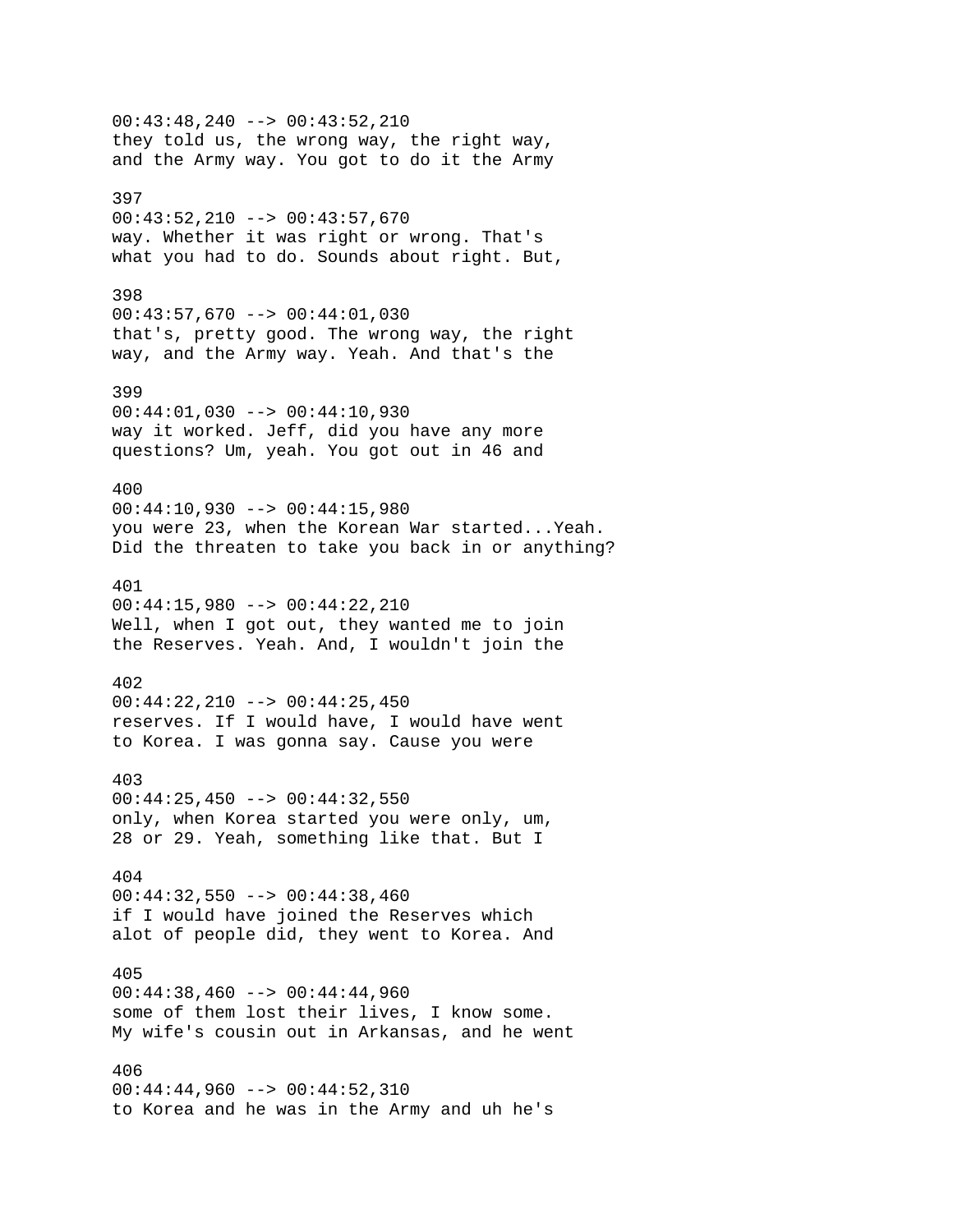00:43:48,240 --> 00:43:52,210 they told us, the wrong way, the right way, and the Army way. You got to do it the Army 397 00:43:52,210 --> 00:43:57,670 way. Whether it was right or wrong. That's what you had to do. Sounds about right. But, 398 00:43:57,670 --> 00:44:01,030 that's, pretty good. The wrong way, the right way, and the Army way. Yeah. And that's the 399 00:44:01,030 --> 00:44:10,930 way it worked. Jeff, did you have any more questions? Um, yeah. You got out in 46 and 400 00:44:10,930 --> 00:44:15,980 you were 23, when the Korean War started...Yeah. Did the threaten to take you back in or anything? 401 00:44:15,980 --> 00:44:22,210 Well, when I got out, they wanted me to join the Reserves. Yeah. And, I wouldn't join the 402 00:44:22,210 --> 00:44:25,450 reserves. If I would have, I would have went to Korea. I was gonna say. Cause you were 403  $00:44:25,450$  -->  $00:44:32,550$ only, when Korea started you were only, um, 28 or 29. Yeah, something like that. But I 404 00:44:32,550 --> 00:44:38,460 if I would have joined the Reserves which alot of people did, they went to Korea. And 405  $00:44:38,460$  -->  $00:44:44,960$ some of them lost their lives, I know some. My wife's cousin out in Arkansas, and he went 406 00:44:44,960 --> 00:44:52,310 to Korea and he was in the Army and uh he's